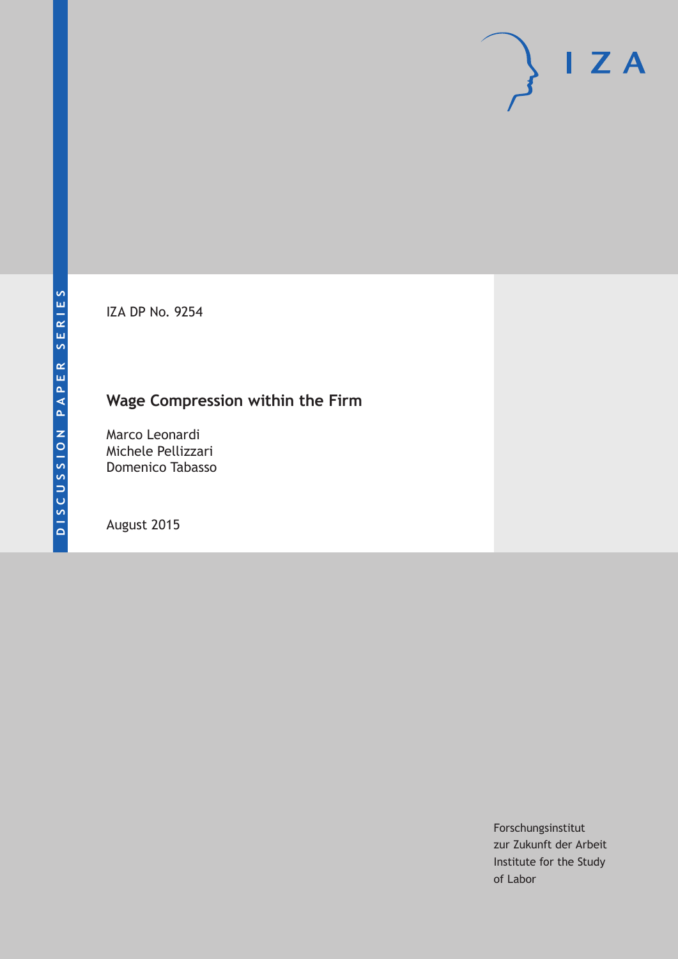IZA DP No. 9254

## **Wage Compression within the Firm**

Marco Leonardi Michele Pellizzari Domenico Tabasso

August 2015

Forschungsinstitut zur Zukunft der Arbeit Institute for the Study of Labor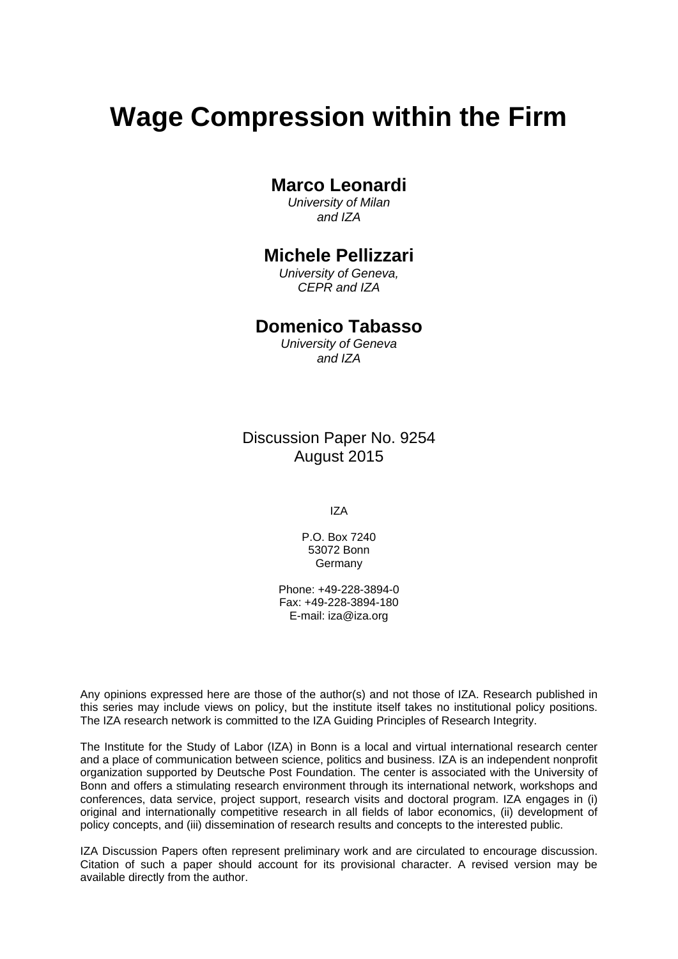# **Wage Compression within the Firm**

### **Marco Leonardi**

*University of Milan and IZA* 

### **Michele Pellizzari**

*University of Geneva, CEPR and IZA* 

### **Domenico Tabasso**

*University of Geneva and IZA*

Discussion Paper No. 9254 August 2015

IZA

P.O. Box 7240 53072 Bonn Germany

Phone: +49-228-3894-0 Fax: +49-228-3894-180 E-mail: iza@iza.org

Any opinions expressed here are those of the author(s) and not those of IZA. Research published in this series may include views on policy, but the institute itself takes no institutional policy positions. The IZA research network is committed to the IZA Guiding Principles of Research Integrity.

The Institute for the Study of Labor (IZA) in Bonn is a local and virtual international research center and a place of communication between science, politics and business. IZA is an independent nonprofit organization supported by Deutsche Post Foundation. The center is associated with the University of Bonn and offers a stimulating research environment through its international network, workshops and conferences, data service, project support, research visits and doctoral program. IZA engages in (i) original and internationally competitive research in all fields of labor economics, (ii) development of policy concepts, and (iii) dissemination of research results and concepts to the interested public.

IZA Discussion Papers often represent preliminary work and are circulated to encourage discussion. Citation of such a paper should account for its provisional character. A revised version may be available directly from the author.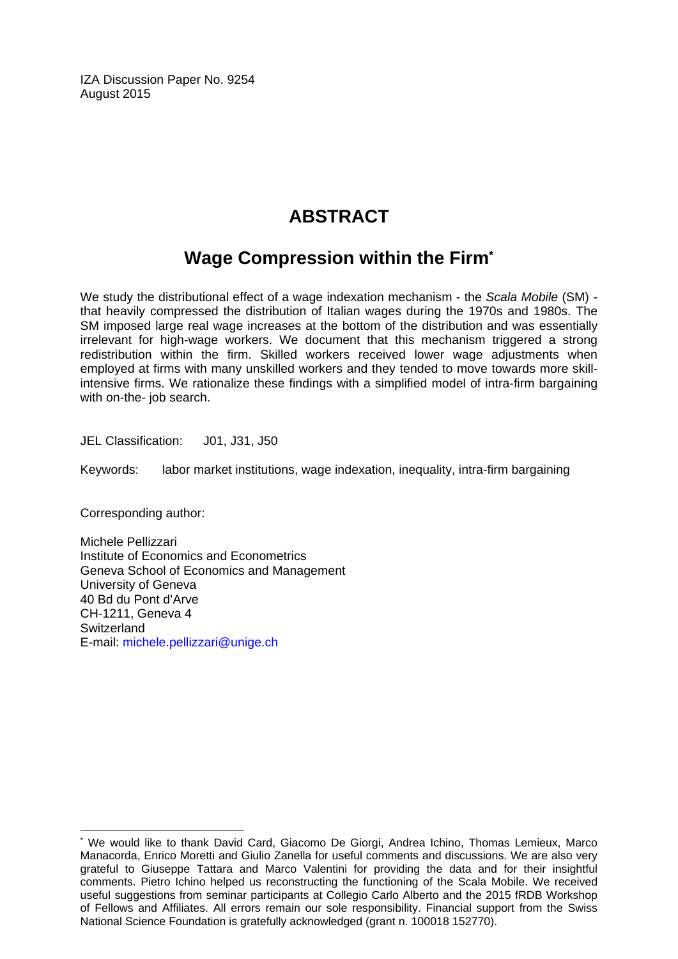IZA Discussion Paper No. 9254 August 2015

## **ABSTRACT**

## **Wage Compression within the Firm\***

We study the distributional effect of a wage indexation mechanism - the *Scala Mobile* (SM) that heavily compressed the distribution of Italian wages during the 1970s and 1980s. The SM imposed large real wage increases at the bottom of the distribution and was essentially irrelevant for high-wage workers. We document that this mechanism triggered a strong redistribution within the firm. Skilled workers received lower wage adjustments when employed at firms with many unskilled workers and they tended to move towards more skillintensive firms. We rationalize these findings with a simplified model of intra-firm bargaining with on-the- job search.

JEL Classification: J01, J31, J50

Keywords: labor market institutions, wage indexation, inequality, intra-firm bargaining

Corresponding author:

 $\overline{\phantom{a}}$ 

Michele Pellizzari Institute of Economics and Econometrics Geneva School of Economics and Management University of Geneva 40 Bd du Pont d'Arve CH-1211, Geneva 4 **Switzerland** E-mail: michele.pellizzari@unige.ch

<sup>\*</sup> We would like to thank David Card, Giacomo De Giorgi, Andrea Ichino, Thomas Lemieux, Marco Manacorda, Enrico Moretti and Giulio Zanella for useful comments and discussions. We are also very grateful to Giuseppe Tattara and Marco Valentini for providing the data and for their insightful comments. Pietro Ichino helped us reconstructing the functioning of the Scala Mobile. We received useful suggestions from seminar participants at Collegio Carlo Alberto and the 2015 fRDB Workshop of Fellows and Affiliates. All errors remain our sole responsibility. Financial support from the Swiss National Science Foundation is gratefully acknowledged (grant n. 100018 152770).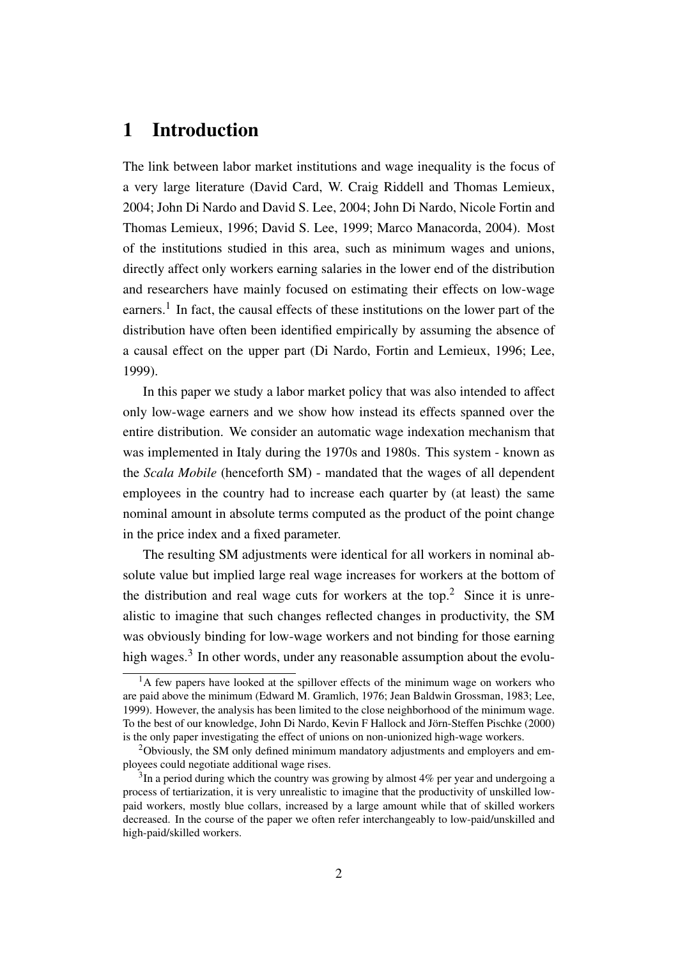## 1 Introduction

The link between labor market institutions and wage inequality is the focus of a very large literature [\(David Card, W. Craig Riddell and Thomas Lemieux,](#page-28-0) [2004;](#page-28-0) [John Di Nardo and David S. Lee, 2004;](#page-29-0) [John Di Nardo, Nicole Fortin and](#page-29-1) [Thomas Lemieux, 1996;](#page-29-1) [David S. Lee, 1999;](#page-30-0) [Marco Manacorda, 2004\)](#page-30-1). Most of the institutions studied in this area, such as minimum wages and unions, directly affect only workers earning salaries in the lower end of the distribution and researchers have mainly focused on estimating their effects on low-wage earners.<sup>[1](#page-3-0)</sup> In fact, the causal effects of these institutions on the lower part of the distribution have often been identified empirically by assuming the absence of a causal effect on the upper part [\(Di Nardo, Fortin and Lemieux, 1996;](#page-29-1) [Lee,](#page-30-0) [1999\)](#page-30-0).

In this paper we study a labor market policy that was also intended to affect only low-wage earners and we show how instead its effects spanned over the entire distribution. We consider an automatic wage indexation mechanism that was implemented in Italy during the 1970s and 1980s. This system - known as the *Scala Mobile* (henceforth SM) - mandated that the wages of all dependent employees in the country had to increase each quarter by (at least) the same nominal amount in absolute terms computed as the product of the point change in the price index and a fixed parameter.

The resulting SM adjustments were identical for all workers in nominal absolute value but implied large real wage increases for workers at the bottom of the distribution and real wage cuts for workers at the top.<sup>[2](#page-3-1)</sup> Since it is unrealistic to imagine that such changes reflected changes in productivity, the SM was obviously binding for low-wage workers and not binding for those earning high wages.<sup>[3](#page-3-2)</sup> In other words, under any reasonable assumption about the evolu-

<span id="page-3-0"></span> $<sup>1</sup>A$  few papers have looked at the spillover effects of the minimum wage on workers who</sup> are paid above the minimum [\(Edward M. Gramlich, 1976;](#page-30-2) [Jean Baldwin Grossman, 1983;](#page-30-3) [Lee,](#page-30-0) [1999\)](#page-30-0). However, the analysis has been limited to the close neighborhood of the minimum wage. To the best of our knowledge, [John Di Nardo, Kevin F Hallock and Jörn-Steffen Pischke](#page-29-2) [\(2000\)](#page-29-2) is the only paper investigating the effect of unions on non-unionized high-wage workers.

<span id="page-3-1"></span><sup>&</sup>lt;sup>2</sup>Obviously, the SM only defined minimum mandatory adjustments and employers and employees could negotiate additional wage rises.

<span id="page-3-2"></span> $3$ In a period during which the country was growing by almost 4% per year and undergoing a process of tertiarization, it is very unrealistic to imagine that the productivity of unskilled lowpaid workers, mostly blue collars, increased by a large amount while that of skilled workers decreased. In the course of the paper we often refer interchangeably to low-paid/unskilled and high-paid/skilled workers.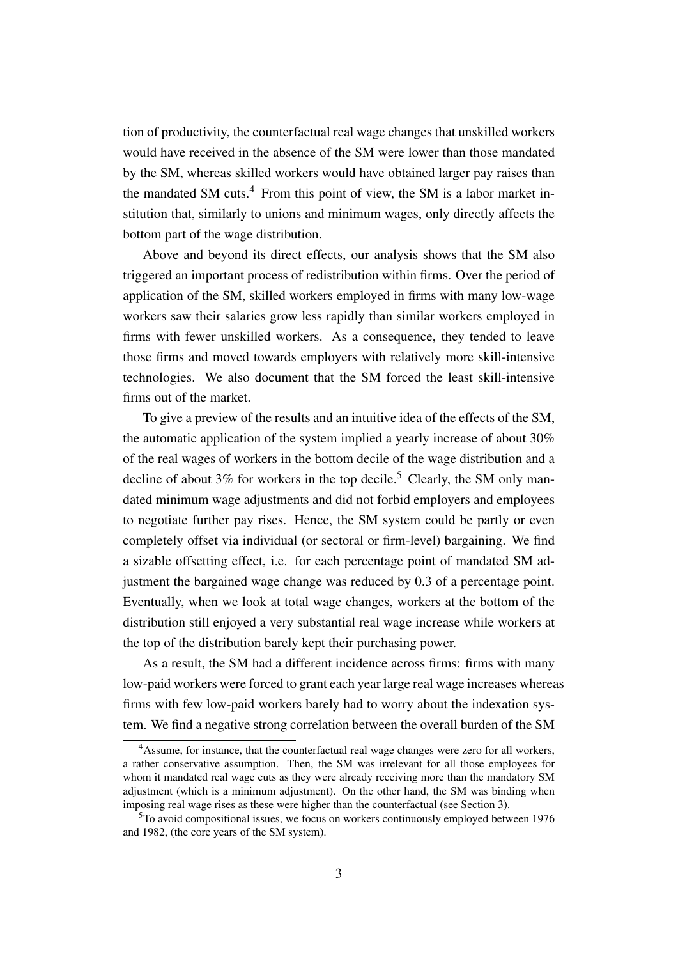tion of productivity, the counterfactual real wage changes that unskilled workers would have received in the absence of the SM were lower than those mandated by the SM, whereas skilled workers would have obtained larger pay raises than the mandated SM cuts.<sup>[4](#page-4-0)</sup> From this point of view, the SM is a labor market institution that, similarly to unions and minimum wages, only directly affects the bottom part of the wage distribution.

Above and beyond its direct effects, our analysis shows that the SM also triggered an important process of redistribution within firms. Over the period of application of the SM, skilled workers employed in firms with many low-wage workers saw their salaries grow less rapidly than similar workers employed in firms with fewer unskilled workers. As a consequence, they tended to leave those firms and moved towards employers with relatively more skill-intensive technologies. We also document that the SM forced the least skill-intensive firms out of the market.

To give a preview of the results and an intuitive idea of the effects of the SM, the automatic application of the system implied a yearly increase of about 30% of the real wages of workers in the bottom decile of the wage distribution and a decline of about 3% for workers in the top decile.<sup>[5](#page-4-1)</sup> Clearly, the SM only mandated minimum wage adjustments and did not forbid employers and employees to negotiate further pay rises. Hence, the SM system could be partly or even completely offset via individual (or sectoral or firm-level) bargaining. We find a sizable offsetting effect, i.e. for each percentage point of mandated SM adjustment the bargained wage change was reduced by 0.3 of a percentage point. Eventually, when we look at total wage changes, workers at the bottom of the distribution still enjoyed a very substantial real wage increase while workers at the top of the distribution barely kept their purchasing power.

As a result, the SM had a different incidence across firms: firms with many low-paid workers were forced to grant each year large real wage increases whereas firms with few low-paid workers barely had to worry about the indexation system. We find a negative strong correlation between the overall burden of the SM

<span id="page-4-0"></span><sup>&</sup>lt;sup>4</sup>Assume, for instance, that the counterfactual real wage changes were zero for all workers, a rather conservative assumption. Then, the SM was irrelevant for all those employees for whom it mandated real wage cuts as they were already receiving more than the mandatory SM adjustment (which is a minimum adjustment). On the other hand, the SM was binding when imposing real wage rises as these were higher than the counterfactual (see Section [3\)](#page-9-0).

<span id="page-4-1"></span><sup>&</sup>lt;sup>5</sup>To avoid compositional issues, we focus on workers continuously employed between 1976 and 1982, (the core years of the SM system).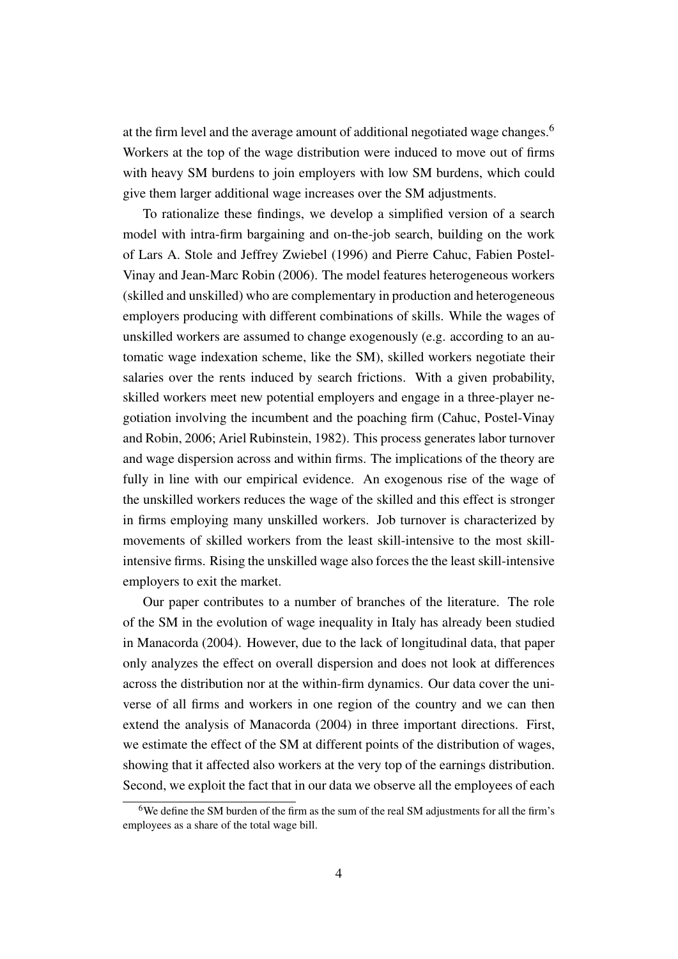at the firm level and the average amount of additional negotiated wage changes.<sup>[6](#page-5-0)</sup> Workers at the top of the wage distribution were induced to move out of firms with heavy SM burdens to join employers with low SM burdens, which could give them larger additional wage increases over the SM adjustments.

To rationalize these findings, we develop a simplified version of a search model with intra-firm bargaining and on-the-job search, building on the work of [Lars A. Stole and Jeffrey Zwiebel](#page-30-4) [\(1996\)](#page-30-4) and [Pierre Cahuc, Fabien Postel-](#page-28-1)[Vinay and Jean-Marc Robin](#page-28-1) [\(2006\)](#page-28-1). The model features heterogeneous workers (skilled and unskilled) who are complementary in production and heterogeneous employers producing with different combinations of skills. While the wages of unskilled workers are assumed to change exogenously (e.g. according to an automatic wage indexation scheme, like the SM), skilled workers negotiate their salaries over the rents induced by search frictions. With a given probability, skilled workers meet new potential employers and engage in a three-player negotiation involving the incumbent and the poaching firm [\(Cahuc, Postel-Vinay](#page-28-1) [and Robin, 2006;](#page-28-1) [Ariel Rubinstein, 1982\)](#page-30-5). This process generates labor turnover and wage dispersion across and within firms. The implications of the theory are fully in line with our empirical evidence. An exogenous rise of the wage of the unskilled workers reduces the wage of the skilled and this effect is stronger in firms employing many unskilled workers. Job turnover is characterized by movements of skilled workers from the least skill-intensive to the most skillintensive firms. Rising the unskilled wage also forces the the least skill-intensive employers to exit the market.

Our paper contributes to a number of branches of the literature. The role of the SM in the evolution of wage inequality in Italy has already been studied in [Manacorda](#page-30-1) [\(2004\)](#page-30-1). However, due to the lack of longitudinal data, that paper only analyzes the effect on overall dispersion and does not look at differences across the distribution nor at the within-firm dynamics. Our data cover the universe of all firms and workers in one region of the country and we can then extend the analysis of [Manacorda](#page-30-1) [\(2004\)](#page-30-1) in three important directions. First, we estimate the effect of the SM at different points of the distribution of wages, showing that it affected also workers at the very top of the earnings distribution. Second, we exploit the fact that in our data we observe all the employees of each

<span id="page-5-0"></span><sup>6</sup>We define the SM burden of the firm as the sum of the real SM adjustments for all the firm's employees as a share of the total wage bill.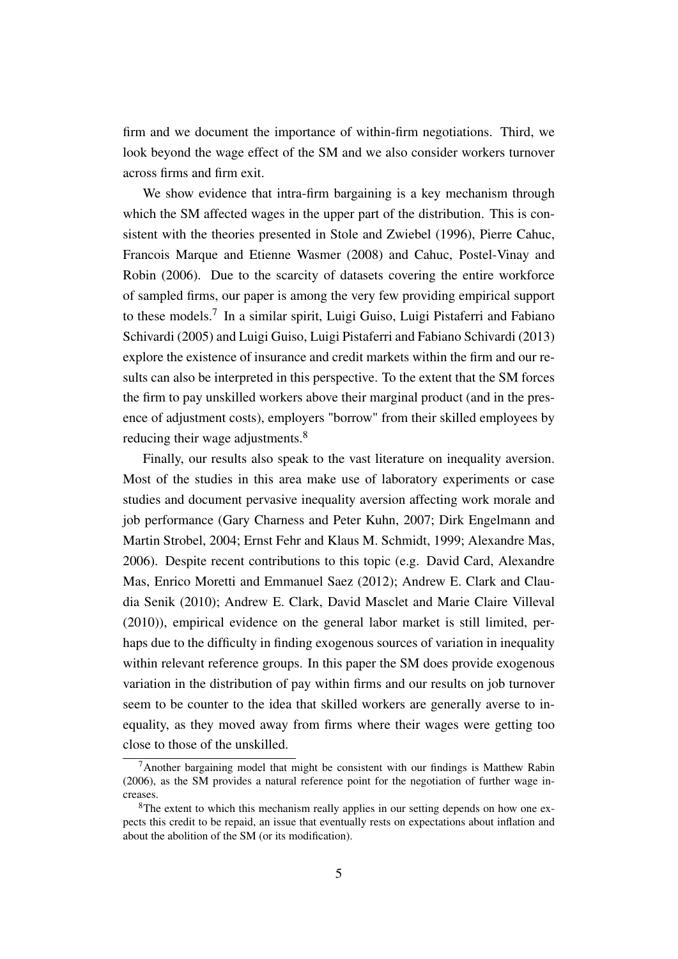firm and we document the importance of within-firm negotiations. Third, we look beyond the wage effect of the SM and we also consider workers turnover across firms and firm exit.

We show evidence that intra-firm bargaining is a key mechanism through which the SM affected wages in the upper part of the distribution. This is consistent with the theories presented in [Stole and Zwiebel](#page-30-4) [\(1996\)](#page-30-4), [Pierre Cahuc,](#page-28-2) [Francois Marque and Etienne Wasmer](#page-28-2) [\(2008\)](#page-28-2) and [Cahuc, Postel-Vinay and](#page-28-1) [Robin](#page-28-1) [\(2006\)](#page-28-1). Due to the scarcity of datasets covering the entire workforce of sampled firms, our paper is among the very few providing empirical support to these models.<sup>[7](#page-6-0)</sup> In a similar spirit, [Luigi Guiso, Luigi Pistaferri and Fabiano](#page-30-6) [Schivardi](#page-30-6) [\(2005\)](#page-30-6) and [Luigi Guiso, Luigi Pistaferri and Fabiano Schivardi](#page-30-7) [\(2013\)](#page-30-7) explore the existence of insurance and credit markets within the firm and our results can also be interpreted in this perspective. To the extent that the SM forces the firm to pay unskilled workers above their marginal product (and in the presence of adjustment costs), employers "borrow" from their skilled employees by reducing their wage adjustments.<sup>[8](#page-6-1)</sup>

Finally, our results also speak to the vast literature on inequality aversion. Most of the studies in this area make use of laboratory experiments or case studies and document pervasive inequality aversion affecting work morale and job performance [\(Gary Charness and Peter Kuhn, 2007;](#page-29-3) [Dirk Engelmann and](#page-29-4) [Martin Strobel, 2004;](#page-29-4) [Ernst Fehr and Klaus M. Schmidt, 1999;](#page-29-5) [Alexandre Mas,](#page-30-8) [2006\)](#page-30-8). Despite recent contributions to this topic (e.g. [David Card, Alexandre](#page-28-3) [Mas, Enrico Moretti and Emmanuel Saez](#page-28-3) [\(2012\)](#page-28-3); [Andrew E. Clark and Clau](#page-29-6)[dia Senik](#page-29-6) [\(2010\)](#page-29-6); [Andrew E. Clark, David Masclet and Marie Claire Villeval](#page-29-7) [\(2010\)](#page-29-7)), empirical evidence on the general labor market is still limited, perhaps due to the difficulty in finding exogenous sources of variation in inequality within relevant reference groups. In this paper the SM does provide exogenous variation in the distribution of pay within firms and our results on job turnover seem to be counter to the idea that skilled workers are generally averse to inequality, as they moved away from firms where their wages were getting too close to those of the unskilled.

<span id="page-6-0"></span> $7A$ nother bargaining model that might be consistent with our findings is [Matthew Rabin](#page-30-9) [\(2006\)](#page-30-9), as the SM provides a natural reference point for the negotiation of further wage increases.

<span id="page-6-1"></span><sup>&</sup>lt;sup>8</sup>The extent to which this mechanism really applies in our setting depends on how one expects this credit to be repaid, an issue that eventually rests on expectations about inflation and about the abolition of the SM (or its modification).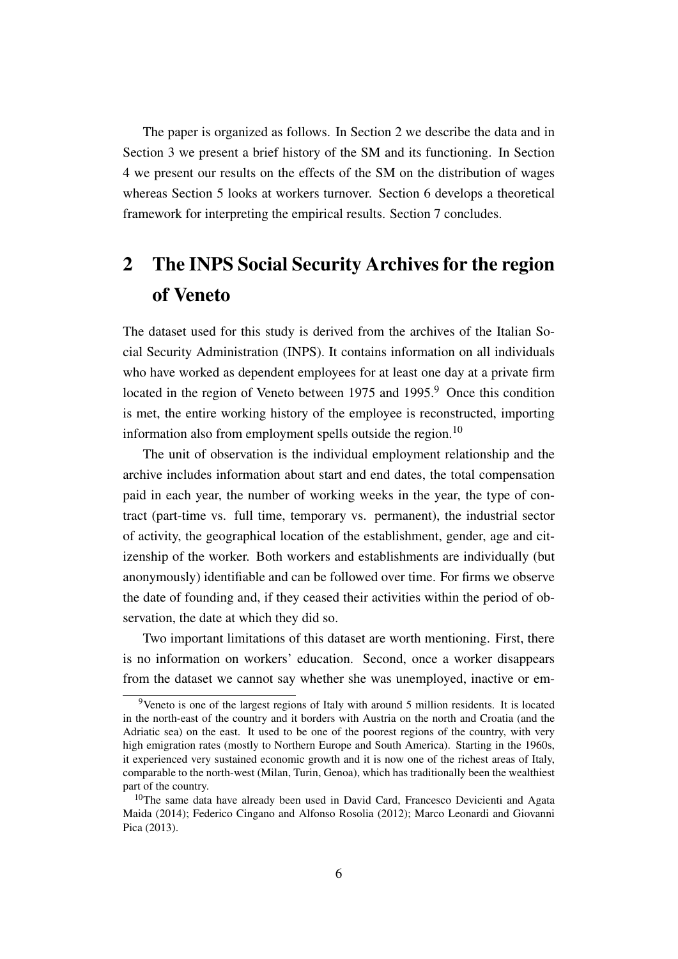The paper is organized as follows. In Section [2](#page-7-0) we describe the data and in Section [3](#page-9-0) we present a brief history of the SM and its functioning. In Section [4](#page-13-0) we present our results on the effects of the SM on the distribution of wages whereas Section [5](#page-20-0) looks at workers turnover. Section [6](#page-22-0) develops a theoretical framework for interpreting the empirical results. Section [7](#page-27-0) concludes.

# <span id="page-7-0"></span>2 The INPS Social Security Archives for the region of Veneto

The dataset used for this study is derived from the archives of the Italian Social Security Administration (INPS). It contains information on all individuals who have worked as dependent employees for at least one day at a private firm located in the region of Veneto between 1[9](#page-7-1)75 and 1995.<sup>9</sup> Once this condition is met, the entire working history of the employee is reconstructed, importing information also from employment spells outside the region.<sup>[10](#page-7-2)</sup>

The unit of observation is the individual employment relationship and the archive includes information about start and end dates, the total compensation paid in each year, the number of working weeks in the year, the type of contract (part-time vs. full time, temporary vs. permanent), the industrial sector of activity, the geographical location of the establishment, gender, age and citizenship of the worker. Both workers and establishments are individually (but anonymously) identifiable and can be followed over time. For firms we observe the date of founding and, if they ceased their activities within the period of observation, the date at which they did so.

Two important limitations of this dataset are worth mentioning. First, there is no information on workers' education. Second, once a worker disappears from the dataset we cannot say whether she was unemployed, inactive or em-

<span id="page-7-1"></span><sup>9</sup>Veneto is one of the largest regions of Italy with around 5 million residents. It is located in the north-east of the country and it borders with Austria on the north and Croatia (and the Adriatic sea) on the east. It used to be one of the poorest regions of the country, with very high emigration rates (mostly to Northern Europe and South America). Starting in the 1960s, it experienced very sustained economic growth and it is now one of the richest areas of Italy, comparable to the north-west (Milan, Turin, Genoa), which has traditionally been the wealthiest part of the country.

<span id="page-7-2"></span> $10$ The same data have already been used in [David Card, Francesco Devicienti and Agata](#page-28-4) [Maida](#page-28-4) [\(2014\)](#page-28-4); [Federico Cingano and Alfonso Rosolia](#page-29-8) [\(2012\)](#page-29-8); [Marco Leonardi and Giovanni](#page-30-10) [Pica](#page-30-10) [\(2013\)](#page-30-10).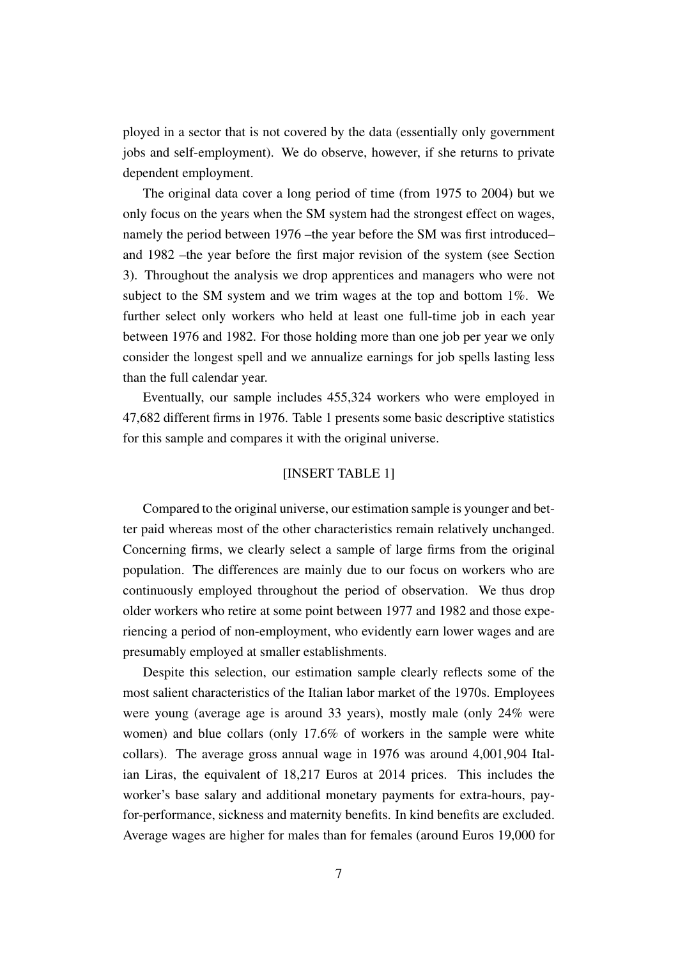ployed in a sector that is not covered by the data (essentially only government jobs and self-employment). We do observe, however, if she returns to private dependent employment.

The original data cover a long period of time (from 1975 to 2004) but we only focus on the years when the SM system had the strongest effect on wages, namely the period between 1976 –the year before the SM was first introduced– and 1982 –the year before the first major revision of the system (see Section [3\)](#page-9-0). Throughout the analysis we drop apprentices and managers who were not subject to the SM system and we trim wages at the top and bottom 1%. We further select only workers who held at least one full-time job in each year between 1976 and 1982. For those holding more than one job per year we only consider the longest spell and we annualize earnings for job spells lasting less than the full calendar year.

Eventually, our sample includes 455,324 workers who were employed in 47,682 different firms in 1976. Table [1](#page-34-0) presents some basic descriptive statistics for this sample and compares it with the original universe.

#### [INSERT TABLE [1\]](#page-34-0)

Compared to the original universe, our estimation sample is younger and better paid whereas most of the other characteristics remain relatively unchanged. Concerning firms, we clearly select a sample of large firms from the original population. The differences are mainly due to our focus on workers who are continuously employed throughout the period of observation. We thus drop older workers who retire at some point between 1977 and 1982 and those experiencing a period of non-employment, who evidently earn lower wages and are presumably employed at smaller establishments.

Despite this selection, our estimation sample clearly reflects some of the most salient characteristics of the Italian labor market of the 1970s. Employees were young (average age is around 33 years), mostly male (only 24% were women) and blue collars (only 17.6% of workers in the sample were white collars). The average gross annual wage in 1976 was around 4,001,904 Italian Liras, the equivalent of 18,217 Euros at 2014 prices. This includes the worker's base salary and additional monetary payments for extra-hours, payfor-performance, sickness and maternity benefits. In kind benefits are excluded. Average wages are higher for males than for females (around Euros 19,000 for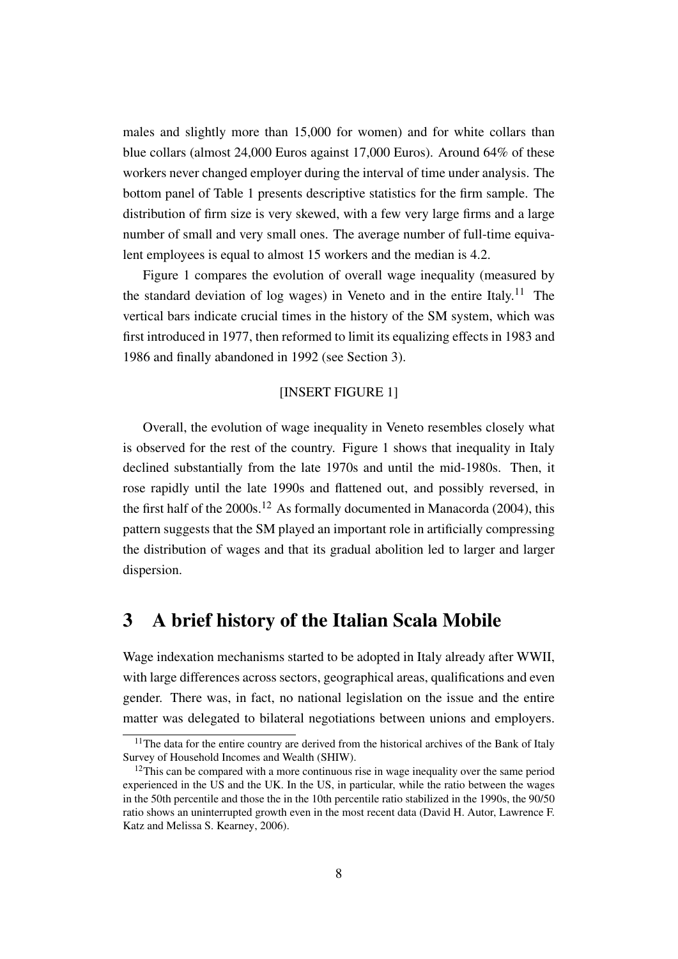males and slightly more than 15,000 for women) and for white collars than blue collars (almost 24,000 Euros against 17,000 Euros). Around 64% of these workers never changed employer during the interval of time under analysis. The bottom panel of Table [1](#page-34-0) presents descriptive statistics for the firm sample. The distribution of firm size is very skewed, with a few very large firms and a large number of small and very small ones. The average number of full-time equivalent employees is equal to almost 15 workers and the median is 4.2.

Figure [1](#page-31-0) compares the evolution of overall wage inequality (measured by the standard deviation of log wages) in Veneto and in the entire Italy.<sup>[11](#page-9-1)</sup> The vertical bars indicate crucial times in the history of the SM system, which was first introduced in 1977, then reformed to limit its equalizing effects in 1983 and 1986 and finally abandoned in 1992 (see Section [3\)](#page-9-0).

#### [INSERT FIGURE [1\]](#page-31-0)

Overall, the evolution of wage inequality in Veneto resembles closely what is observed for the rest of the country. Figure [1](#page-31-0) shows that inequality in Italy declined substantially from the late 1970s and until the mid-1980s. Then, it rose rapidly until the late 1990s and flattened out, and possibly reversed, in the first half of the  $2000s$ .<sup>[12](#page-9-2)</sup> As formally documented in [Manacorda](#page-30-1) [\(2004\)](#page-30-1), this pattern suggests that the SM played an important role in artificially compressing the distribution of wages and that its gradual abolition led to larger and larger dispersion.

### <span id="page-9-0"></span>3 A brief history of the Italian Scala Mobile

Wage indexation mechanisms started to be adopted in Italy already after WWII, with large differences across sectors, geographical areas, qualifications and even gender. There was, in fact, no national legislation on the issue and the entire matter was delegated to bilateral negotiations between unions and employers.

<span id="page-9-1"></span> $11$ The data for the entire country are derived from the historical archives of the Bank of Italy Survey of Household Incomes and Wealth (SHIW).

<span id="page-9-2"></span> $12$ This can be compared with a more continuous rise in wage inequality over the same period experienced in the US and the UK. In the US, in particular, while the ratio between the wages in the 50th percentile and those the in the 10th percentile ratio stabilized in the 1990s, the 90/50 ratio shows an uninterrupted growth even in the most recent data [\(David H. Autor, Lawrence F.](#page-28-5) [Katz and Melissa S. Kearney, 2006\)](#page-28-5).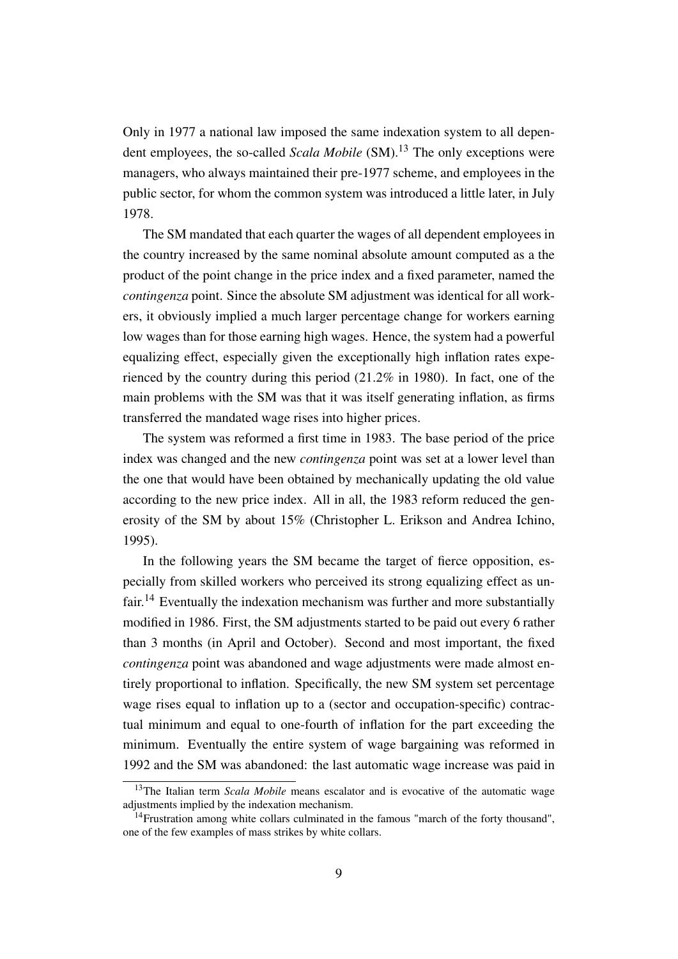Only in 1977 a national law imposed the same indexation system to all dependent employees, the so-called *Scala Mobile* (SM).<sup>[13](#page-10-0)</sup> The only exceptions were managers, who always maintained their pre-1977 scheme, and employees in the public sector, for whom the common system was introduced a little later, in July 1978.

The SM mandated that each quarter the wages of all dependent employees in the country increased by the same nominal absolute amount computed as a the product of the point change in the price index and a fixed parameter, named the *contingenza* point. Since the absolute SM adjustment was identical for all workers, it obviously implied a much larger percentage change for workers earning low wages than for those earning high wages. Hence, the system had a powerful equalizing effect, especially given the exceptionally high inflation rates experienced by the country during this period (21.2% in 1980). In fact, one of the main problems with the SM was that it was itself generating inflation, as firms transferred the mandated wage rises into higher prices.

The system was reformed a first time in 1983. The base period of the price index was changed and the new *contingenza* point was set at a lower level than the one that would have been obtained by mechanically updating the old value according to the new price index. All in all, the 1983 reform reduced the generosity of the SM by about 15% [\(Christopher L. Erikson and Andrea Ichino,](#page-29-9) [1995\)](#page-29-9).

In the following years the SM became the target of fierce opposition, especially from skilled workers who perceived its strong equalizing effect as un-fair.<sup>[14](#page-10-1)</sup> Eventually the indexation mechanism was further and more substantially modified in 1986. First, the SM adjustments started to be paid out every 6 rather than 3 months (in April and October). Second and most important, the fixed *contingenza* point was abandoned and wage adjustments were made almost entirely proportional to inflation. Specifically, the new SM system set percentage wage rises equal to inflation up to a (sector and occupation-specific) contractual minimum and equal to one-fourth of inflation for the part exceeding the minimum. Eventually the entire system of wage bargaining was reformed in 1992 and the SM was abandoned: the last automatic wage increase was paid in

<span id="page-10-0"></span><sup>&</sup>lt;sup>13</sup>The Italian term *Scala Mobile* means escalator and is evocative of the automatic wage adjustments implied by the indexation mechanism.

<span id="page-10-1"></span><sup>&</sup>lt;sup>14</sup>Frustration among white collars culminated in the famous "march of the forty thousand", one of the few examples of mass strikes by white collars.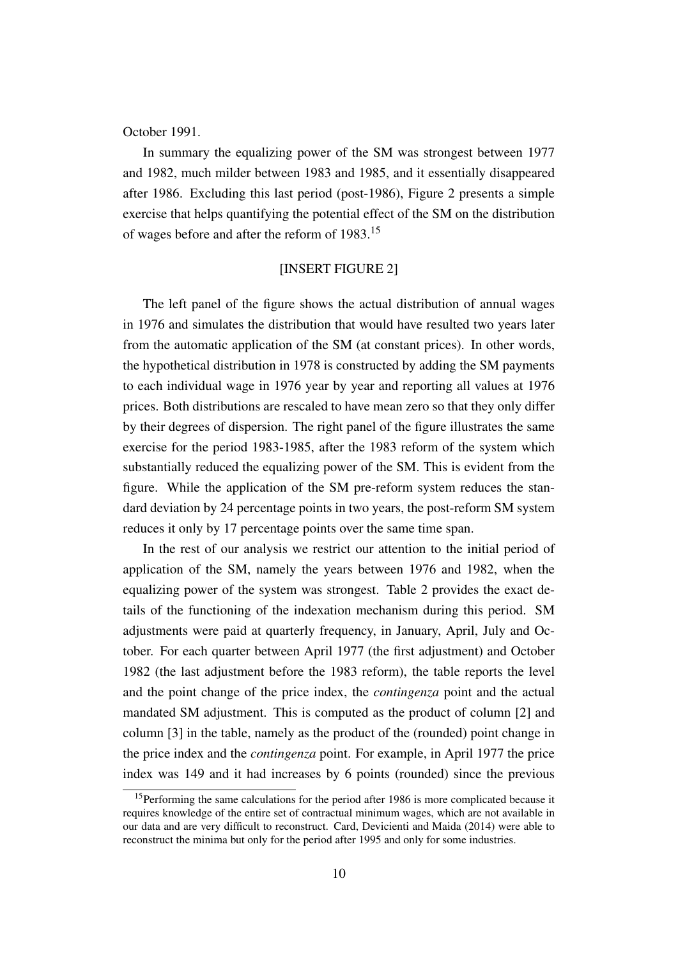October 1991.

In summary the equalizing power of the SM was strongest between 1977 and 1982, much milder between 1983 and 1985, and it essentially disappeared after 1986. Excluding this last period (post-1986), Figure [2](#page-31-1) presents a simple exercise that helps quantifying the potential effect of the SM on the distribution of wages before and after the reform of 1983.[15](#page-11-0)

#### [INSERT FIGURE [2\]](#page-31-1)

The left panel of the figure shows the actual distribution of annual wages in 1976 and simulates the distribution that would have resulted two years later from the automatic application of the SM (at constant prices). In other words, the hypothetical distribution in 1978 is constructed by adding the SM payments to each individual wage in 1976 year by year and reporting all values at 1976 prices. Both distributions are rescaled to have mean zero so that they only differ by their degrees of dispersion. The right panel of the figure illustrates the same exercise for the period 1983-1985, after the 1983 reform of the system which substantially reduced the equalizing power of the SM. This is evident from the figure. While the application of the SM pre-reform system reduces the standard deviation by 24 percentage points in two years, the post-reform SM system reduces it only by 17 percentage points over the same time span.

In the rest of our analysis we restrict our attention to the initial period of application of the SM, namely the years between 1976 and 1982, when the equalizing power of the system was strongest. Table [2](#page-35-0) provides the exact details of the functioning of the indexation mechanism during this period. SM adjustments were paid at quarterly frequency, in January, April, July and October. For each quarter between April 1977 (the first adjustment) and October 1982 (the last adjustment before the 1983 reform), the table reports the level and the point change of the price index, the *contingenza* point and the actual mandated SM adjustment. This is computed as the product of column [2] and column [3] in the table, namely as the product of the (rounded) point change in the price index and the *contingenza* point. For example, in April 1977 the price index was 149 and it had increases by 6 points (rounded) since the previous

<span id="page-11-0"></span><sup>&</sup>lt;sup>15</sup>Performing the same calculations for the period after 1986 is more complicated because it requires knowledge of the entire set of contractual minimum wages, which are not available in our data and are very difficult to reconstruct. [Card, Devicienti and Maida](#page-28-4) [\(2014\)](#page-28-4) were able to reconstruct the minima but only for the period after 1995 and only for some industries.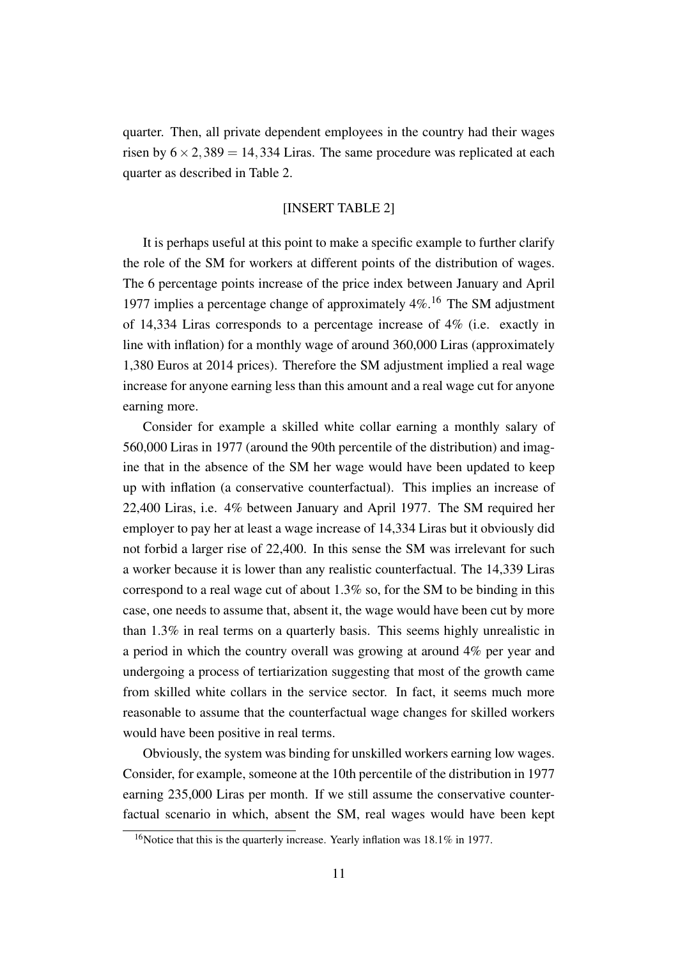quarter. Then, all private dependent employees in the country had their wages risen by  $6 \times 2,389 = 14,334$  Liras. The same procedure was replicated at each quarter as described in Table [2.](#page-35-0)

#### [INSERT TABLE [2\]](#page-35-0)

It is perhaps useful at this point to make a specific example to further clarify the role of the SM for workers at different points of the distribution of wages. The 6 percentage points increase of the price index between January and April 1977 implies a percentage change of approximately  $4\%$ .<sup>[16](#page-12-0)</sup> The SM adjustment of 14,334 Liras corresponds to a percentage increase of 4% (i.e. exactly in line with inflation) for a monthly wage of around 360,000 Liras (approximately 1,380 Euros at 2014 prices). Therefore the SM adjustment implied a real wage increase for anyone earning less than this amount and a real wage cut for anyone earning more.

Consider for example a skilled white collar earning a monthly salary of 560,000 Liras in 1977 (around the 90th percentile of the distribution) and imagine that in the absence of the SM her wage would have been updated to keep up with inflation (a conservative counterfactual). This implies an increase of 22,400 Liras, i.e. 4% between January and April 1977. The SM required her employer to pay her at least a wage increase of 14,334 Liras but it obviously did not forbid a larger rise of 22,400. In this sense the SM was irrelevant for such a worker because it is lower than any realistic counterfactual. The 14,339 Liras correspond to a real wage cut of about  $1.3\%$  so, for the SM to be binding in this case, one needs to assume that, absent it, the wage would have been cut by more than 1.3% in real terms on a quarterly basis. This seems highly unrealistic in a period in which the country overall was growing at around 4% per year and undergoing a process of tertiarization suggesting that most of the growth came from skilled white collars in the service sector. In fact, it seems much more reasonable to assume that the counterfactual wage changes for skilled workers would have been positive in real terms.

Obviously, the system was binding for unskilled workers earning low wages. Consider, for example, someone at the 10th percentile of the distribution in 1977 earning 235,000 Liras per month. If we still assume the conservative counterfactual scenario in which, absent the SM, real wages would have been kept

<span id="page-12-0"></span><sup>16</sup>Notice that this is the quarterly increase. Yearly inflation was 18.1% in 1977.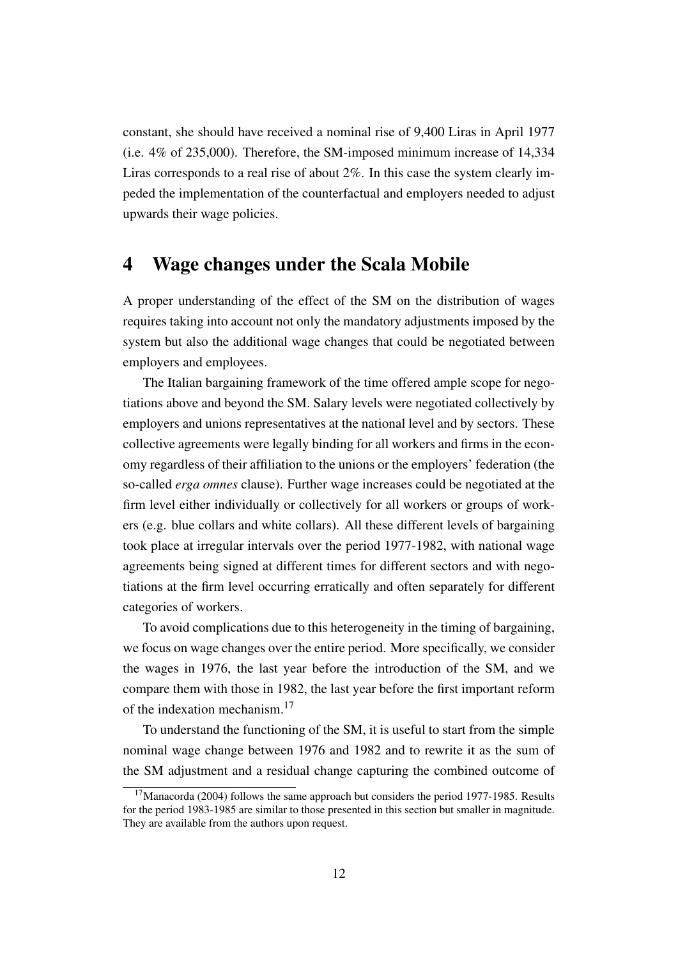constant, she should have received a nominal rise of 9,400 Liras in April 1977 (i.e. 4% of 235,000). Therefore, the SM-imposed minimum increase of 14,334 Liras corresponds to a real rise of about 2%. In this case the system clearly impeded the implementation of the counterfactual and employers needed to adjust upwards their wage policies.

## <span id="page-13-0"></span>4 Wage changes under the Scala Mobile

A proper understanding of the effect of the SM on the distribution of wages requires taking into account not only the mandatory adjustments imposed by the system but also the additional wage changes that could be negotiated between employers and employees.

The Italian bargaining framework of the time offered ample scope for negotiations above and beyond the SM. Salary levels were negotiated collectively by employers and unions representatives at the national level and by sectors. These collective agreements were legally binding for all workers and firms in the economy regardless of their affiliation to the unions or the employers' federation (the so-called *erga omnes* clause). Further wage increases could be negotiated at the firm level either individually or collectively for all workers or groups of workers (e.g. blue collars and white collars). All these different levels of bargaining took place at irregular intervals over the period 1977-1982, with national wage agreements being signed at different times for different sectors and with negotiations at the firm level occurring erratically and often separately for different categories of workers.

To avoid complications due to this heterogeneity in the timing of bargaining, we focus on wage changes over the entire period. More specifically, we consider the wages in 1976, the last year before the introduction of the SM, and we compare them with those in 1982, the last year before the first important reform of the indexation mechanism.[17](#page-13-1)

To understand the functioning of the SM, it is useful to start from the simple nominal wage change between 1976 and 1982 and to rewrite it as the sum of the SM adjustment and a residual change capturing the combined outcome of

<span id="page-13-1"></span><sup>&</sup>lt;sup>17</sup>[Manacorda](#page-30-1) [\(2004\)](#page-30-1) follows the same approach but considers the period 1977-1985. Results for the period 1983-1985 are similar to those presented in this section but smaller in magnitude. They are available from the authors upon request.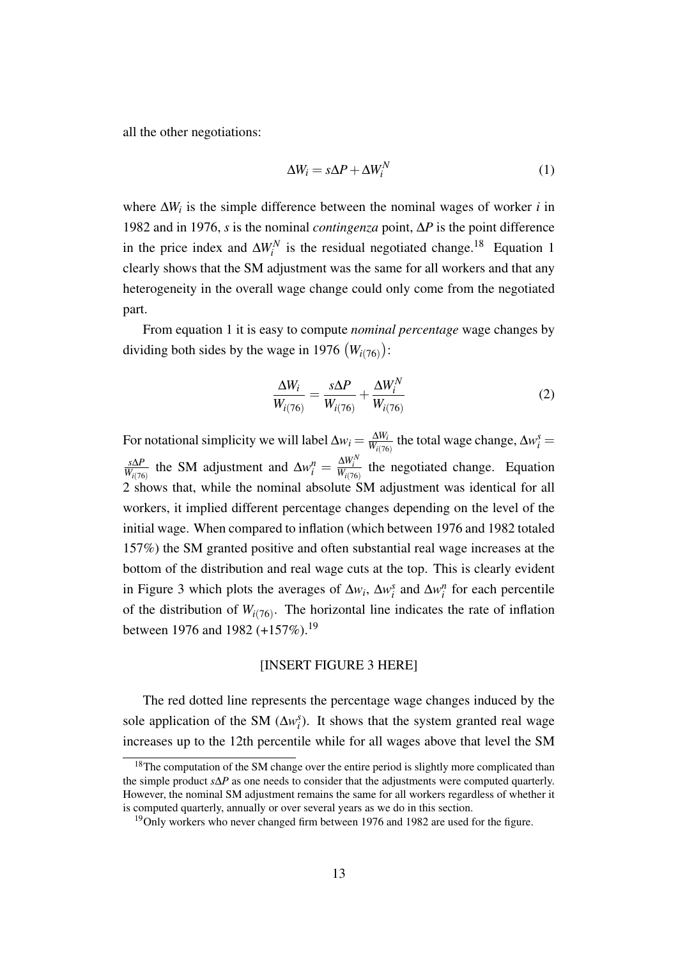all the other negotiations:

<span id="page-14-1"></span>
$$
\Delta W_i = s \Delta P + \Delta W_i^N \tag{1}
$$

where  $\Delta W_i$  is the simple difference between the nominal wages of worker *i* in 1982 and in 1976, *s* is the nominal *contingenza* point, ∆*P* is the point difference in the price index and  $\Delta W_i^N$  is the residual negotiated change.<sup>[18](#page-14-0)</sup> Equation [1](#page-14-1) clearly shows that the SM adjustment was the same for all workers and that any heterogeneity in the overall wage change could only come from the negotiated part.

From equation [1](#page-14-1) it is easy to compute *nominal percentage* wage changes by dividing both sides by the wage in 1976  $(W_{i(76)})$ :

<span id="page-14-2"></span>
$$
\frac{\Delta W_i}{W_{i(76)}} = \frac{s\Delta P}{W_{i(76)}} + \frac{\Delta W_i^N}{W_{i(76)}}
$$
(2)

For notational simplicity we will label  $\Delta w_i = \frac{\Delta W_i}{W_i \Delta V_i}$  $\frac{\Delta W_i}{W_{i(76)}}$  the total wage change,  $\Delta w_i^s =$ *s*∆*P*  $\frac{s\Delta P}{W_i(76)}$  the SM adjustment and  $\Delta w_i^n = \frac{\Delta W_i^N}{W_i(76)}$  the negotiated change. Equation [2](#page-14-2) shows that, while the nominal absolute SM adjustment was identical for all workers, it implied different percentage changes depending on the level of the initial wage. When compared to inflation (which between 1976 and 1982 totaled 157%) the SM granted positive and often substantial real wage increases at the bottom of the distribution and real wage cuts at the top. This is clearly evident in Figure [3](#page-32-0) which plots the averages of  $\Delta w_i$ ,  $\Delta w_i^s$  and  $\Delta w_i^n$  for each percentile of the distribution of  $W_{i(76)}$ . The horizontal line indicates the rate of inflation between [19](#page-14-3)76 and 1982  $(+157\%)$ .<sup>19</sup>

#### [INSERT FIGURE [3](#page-32-0) HERE]

The red dotted line represents the percentage wage changes induced by the sole application of the SM  $(\Delta w_i^s)$ . It shows that the system granted real wage increases up to the 12th percentile while for all wages above that level the SM

<span id="page-14-0"></span><sup>&</sup>lt;sup>18</sup>The computation of the SM change over the entire period is slightly more complicated than the simple product *s*∆*P* as one needs to consider that the adjustments were computed quarterly. However, the nominal SM adjustment remains the same for all workers regardless of whether it is computed quarterly, annually or over several years as we do in this section.

<span id="page-14-3"></span> $19$ Only workers who never changed firm between 1976 and 1982 are used for the figure.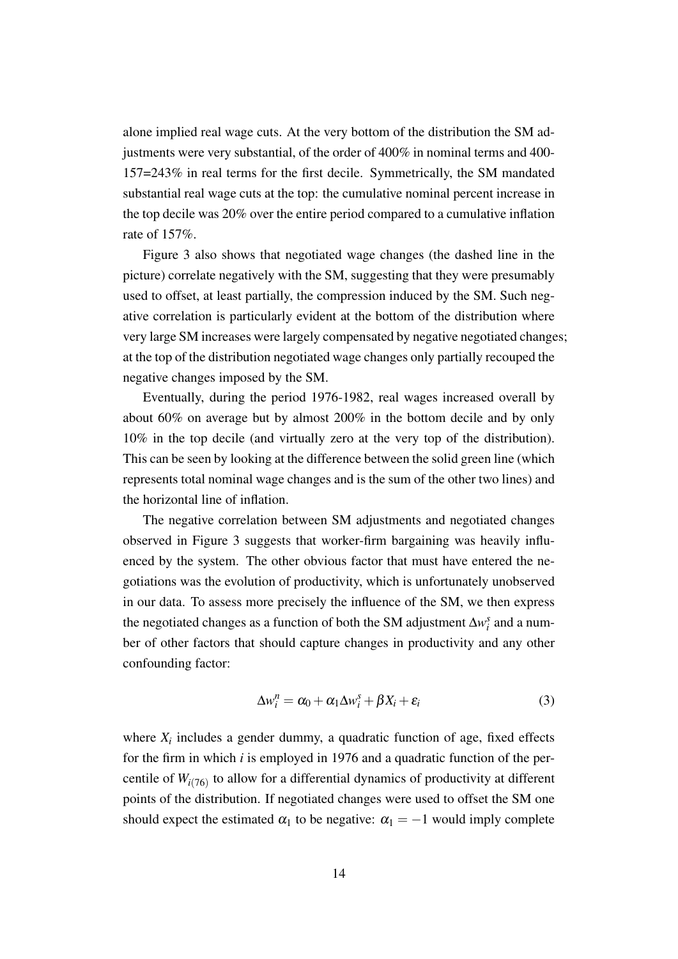alone implied real wage cuts. At the very bottom of the distribution the SM adjustments were very substantial, of the order of 400% in nominal terms and 400- 157=243% in real terms for the first decile. Symmetrically, the SM mandated substantial real wage cuts at the top: the cumulative nominal percent increase in the top decile was 20% over the entire period compared to a cumulative inflation rate of 157%.

Figure [3](#page-32-0) also shows that negotiated wage changes (the dashed line in the picture) correlate negatively with the SM, suggesting that they were presumably used to offset, at least partially, the compression induced by the SM. Such negative correlation is particularly evident at the bottom of the distribution where very large SM increases were largely compensated by negative negotiated changes; at the top of the distribution negotiated wage changes only partially recouped the negative changes imposed by the SM.

Eventually, during the period 1976-1982, real wages increased overall by about 60% on average but by almost 200% in the bottom decile and by only 10% in the top decile (and virtually zero at the very top of the distribution). This can be seen by looking at the difference between the solid green line (which represents total nominal wage changes and is the sum of the other two lines) and the horizontal line of inflation.

The negative correlation between SM adjustments and negotiated changes observed in Figure [3](#page-32-0) suggests that worker-firm bargaining was heavily influenced by the system. The other obvious factor that must have entered the negotiations was the evolution of productivity, which is unfortunately unobserved in our data. To assess more precisely the influence of the SM, we then express the negotiated changes as a function of both the SM adjustment  $\Delta w_i^s$  and a number of other factors that should capture changes in productivity and any other confounding factor:

<span id="page-15-0"></span>
$$
\Delta w_i^n = \alpha_0 + \alpha_1 \Delta w_i^s + \beta X_i + \varepsilon_i \tag{3}
$$

where  $X_i$  includes a gender dummy, a quadratic function of age, fixed effects for the firm in which *i* is employed in 1976 and a quadratic function of the percentile of  $W_{i(76)}$  to allow for a differential dynamics of productivity at different points of the distribution. If negotiated changes were used to offset the SM one should expect the estimated  $\alpha_1$  to be negative:  $\alpha_1 = -1$  would imply complete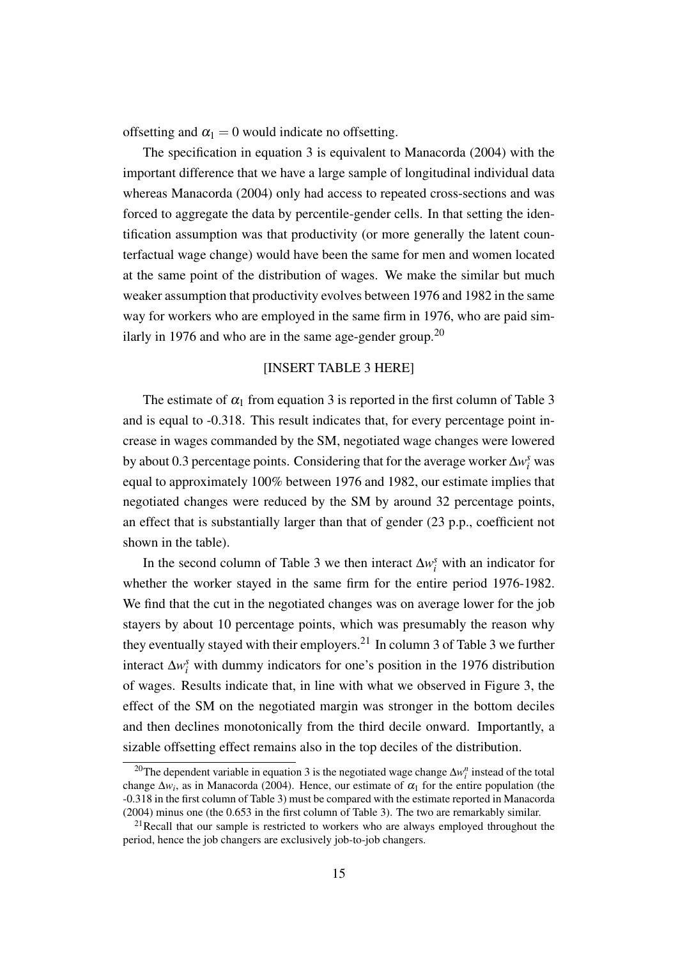offsetting and  $\alpha_1 = 0$  would indicate no offsetting.

The specification in equation [3](#page-15-0) is equivalent to [Manacorda](#page-30-1) [\(2004\)](#page-30-1) with the important difference that we have a large sample of longitudinal individual data whereas [Manacorda](#page-30-1) [\(2004\)](#page-30-1) only had access to repeated cross-sections and was forced to aggregate the data by percentile-gender cells. In that setting the identification assumption was that productivity (or more generally the latent counterfactual wage change) would have been the same for men and women located at the same point of the distribution of wages. We make the similar but much weaker assumption that productivity evolves between 1976 and 1982 in the same way for workers who are employed in the same firm in 1976, who are paid sim-ilarly in 1976 and who are in the same age-gender group.<sup>[20](#page-16-0)</sup>

#### [INSERT TABLE [3](#page-36-0) HERE]

The estimate of  $\alpha_1$  from equation [3](#page-36-0) is reported in the first column of Table 3 and is equal to -0.318. This result indicates that, for every percentage point increase in wages commanded by the SM, negotiated wage changes were lowered by about 0.3 percentage points. Considering that for the average worker  $\Delta w_i^s$  was equal to approximately 100% between 1976 and 1982, our estimate implies that negotiated changes were reduced by the SM by around 32 percentage points, an effect that is substantially larger than that of gender (23 p.p., coefficient not shown in the table).

In the second column of Table [3](#page-36-0) we then interact  $\Delta w_i^s$  with an indicator for whether the worker stayed in the same firm for the entire period 1976-1982. We find that the cut in the negotiated changes was on average lower for the job stayers by about 10 percentage points, which was presumably the reason why they eventually stayed with their employers.<sup>[21](#page-16-1)</sup> In column [3](#page-36-0) of Table 3 we further interact  $\Delta w_i^s$  with dummy indicators for one's position in the 1976 distribution of wages. Results indicate that, in line with what we observed in Figure [3,](#page-32-0) the effect of the SM on the negotiated margin was stronger in the bottom deciles and then declines monotonically from the third decile onward. Importantly, a sizable offsetting effect remains also in the top deciles of the distribution.

<span id="page-16-0"></span><sup>&</sup>lt;sup>20</sup>The dependent variable in equation [3](#page-15-0) is the negotiated wage change  $\Delta w_i^n$  instead of the total change  $\Delta w_i$ , as in [Manacorda](#page-30-1) [\(2004\)](#page-30-1). Hence, our estimate of  $\alpha_1$  for the entire population (the -0.318 in the first column of Table [3\)](#page-36-0) must be compared with the estimate reported in [Manacorda](#page-30-1) [\(2004\)](#page-30-1) minus one (the 0.653 in the first column of Table 3). The two are remarkably similar.

<span id="page-16-1"></span> $21$ Recall that our sample is restricted to workers who are always employed throughout the period, hence the job changers are exclusively job-to-job changers.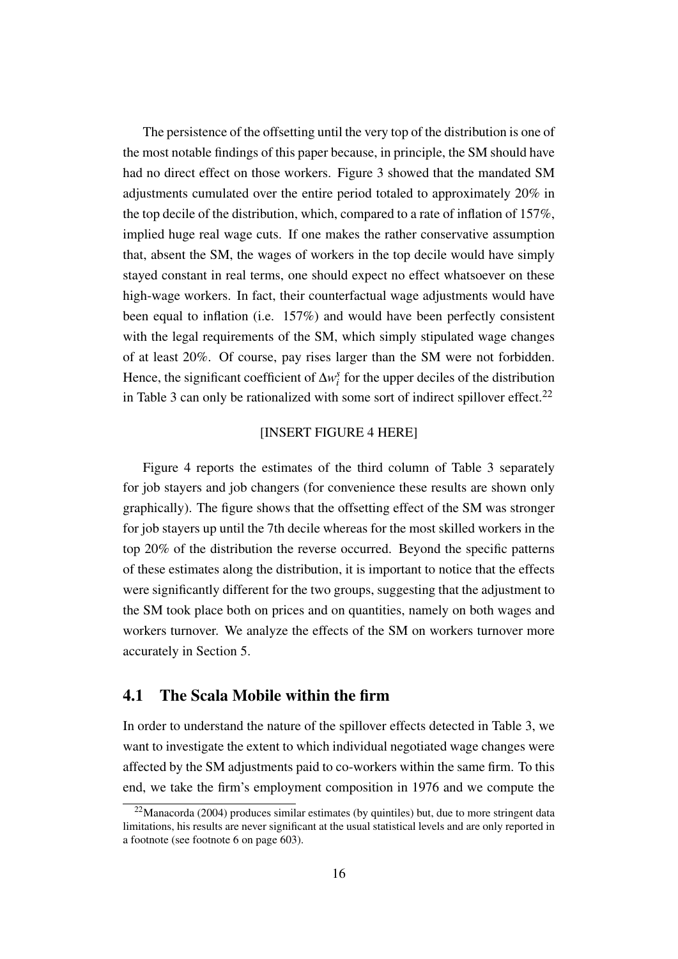The persistence of the offsetting until the very top of the distribution is one of the most notable findings of this paper because, in principle, the SM should have had no direct effect on those workers. Figure [3](#page-32-0) showed that the mandated SM adjustments cumulated over the entire period totaled to approximately 20% in the top decile of the distribution, which, compared to a rate of inflation of 157%, implied huge real wage cuts. If one makes the rather conservative assumption that, absent the SM, the wages of workers in the top decile would have simply stayed constant in real terms, one should expect no effect whatsoever on these high-wage workers. In fact, their counterfactual wage adjustments would have been equal to inflation (i.e. 157%) and would have been perfectly consistent with the legal requirements of the SM, which simply stipulated wage changes of at least 20%. Of course, pay rises larger than the SM were not forbidden. Hence, the significant coefficient of  $\Delta w_i^s$  for the upper deciles of the distribution in Table [3](#page-36-0) can only be rationalized with some sort of indirect spillover effect.<sup>[22](#page-17-0)</sup>

#### [INSERT FIGURE [4](#page-32-1) HERE]

Figure [4](#page-32-1) reports the estimates of the third column of Table [3](#page-36-0) separately for job stayers and job changers (for convenience these results are shown only graphically). The figure shows that the offsetting effect of the SM was stronger for job stayers up until the 7th decile whereas for the most skilled workers in the top 20% of the distribution the reverse occurred. Beyond the specific patterns of these estimates along the distribution, it is important to notice that the effects were significantly different for the two groups, suggesting that the adjustment to the SM took place both on prices and on quantities, namely on both wages and workers turnover. We analyze the effects of the SM on workers turnover more accurately in Section [5.](#page-20-0)

#### <span id="page-17-1"></span>4.1 The Scala Mobile within the firm

In order to understand the nature of the spillover effects detected in Table [3,](#page-36-0) we want to investigate the extent to which individual negotiated wage changes were affected by the SM adjustments paid to co-workers within the same firm. To this end, we take the firm's employment composition in 1976 and we compute the

<span id="page-17-0"></span> $22$ [Manacorda](#page-30-1) [\(2004\)](#page-30-1) produces similar estimates (by quintiles) but, due to more stringent data limitations, his results are never significant at the usual statistical levels and are only reported in a footnote (see footnote 6 on page 603).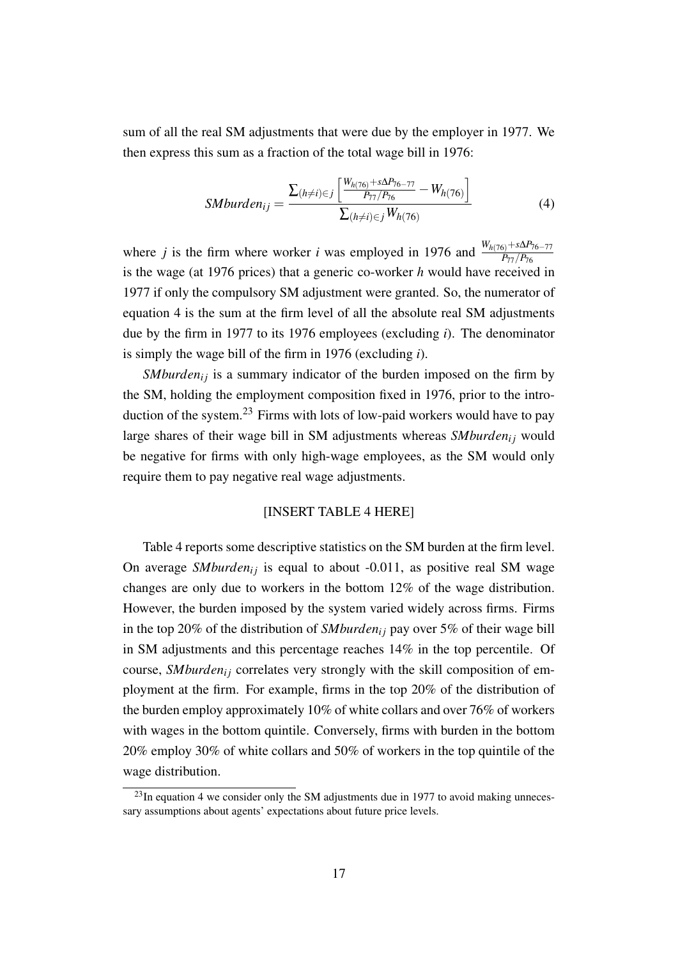sum of all the real SM adjustments that were due by the employer in 1977. We then express this sum as a fraction of the total wage bill in 1976:

<span id="page-18-0"></span>
$$
SMburden_{ij} = \frac{\sum_{(h \neq i) \in j} \left[ \frac{W_{h(76)} + s\Delta P_{76} - 77}{P_{77}/P_{76}} - W_{h(76)} \right]}{\sum_{(h \neq i) \in j} W_{h(76)}} \tag{4}
$$

where *j* is the firm where worker *i* was employed in 1976 and  $\frac{W_{h(76)} + s\Delta P_{76-77}}{P_{77}/P_{76}}$ is the wage (at 1976 prices) that a generic co-worker *h* would have received in 1977 if only the compulsory SM adjustment were granted. So, the numerator of equation [4](#page-18-0) is the sum at the firm level of all the absolute real SM adjustments due by the firm in 1977 to its 1976 employees (excluding *i*). The denominator is simply the wage bill of the firm in 1976 (excluding *i*).

*SMburden*<sub>i</sub> is a summary indicator of the burden imposed on the firm by the SM, holding the employment composition fixed in 1976, prior to the introduction of the system.[23](#page-18-1) Firms with lots of low-paid workers would have to pay large shares of their wage bill in SM adjustments whereas *SMburden*<sup>*i*</sup> would be negative for firms with only high-wage employees, as the SM would only require them to pay negative real wage adjustments.

#### [INSERT TABLE [4](#page-37-0) HERE]

Table [4](#page-37-0) reports some descriptive statistics on the SM burden at the firm level. On average *SMburden*<sub>i</sub> is equal to about -0.011, as positive real SM wage changes are only due to workers in the bottom 12% of the wage distribution. However, the burden imposed by the system varied widely across firms. Firms in the top 20% of the distribution of *SMburden<sub>i</sub>* pay over 5% of their wage bill in SM adjustments and this percentage reaches 14% in the top percentile. Of course, *SMburden<sub>i</sub>* correlates very strongly with the skill composition of employment at the firm. For example, firms in the top 20% of the distribution of the burden employ approximately 10% of white collars and over 76% of workers with wages in the bottom quintile. Conversely, firms with burden in the bottom 20% employ 30% of white collars and 50% of workers in the top quintile of the wage distribution.

<span id="page-18-1"></span> $^{23}$ In equation [4](#page-18-0) we consider only the SM adjustments due in 1977 to avoid making unnecessary assumptions about agents' expectations about future price levels.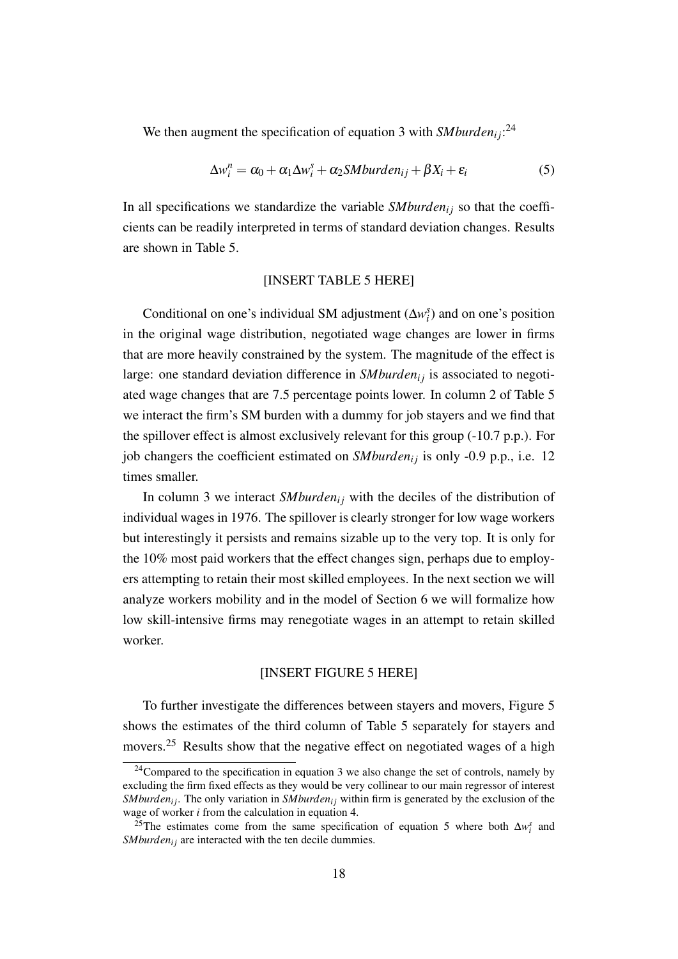We then augment the specification of equation [3](#page-15-0) with  $\mathit{Smburden}_{ij}$ <sup>[24](#page-19-0)</sup>

<span id="page-19-2"></span>
$$
\Delta w_i^n = \alpha_0 + \alpha_1 \Delta w_i^s + \alpha_2 SM burden_{ij} + \beta X_i + \varepsilon_i
$$
\n(5)

In all specifications we standardize the variable  $SMburden<sub>ij</sub>$  so that the coefficients can be readily interpreted in terms of standard deviation changes. Results are shown in Table [5.](#page-38-0)

#### [INSERT TABLE [5](#page-38-0) HERE]

Conditional on one's individual SM adjustment  $(\Delta w_i^s)$  and on one's position in the original wage distribution, negotiated wage changes are lower in firms that are more heavily constrained by the system. The magnitude of the effect is large: one standard deviation difference in *SMburden<sub>i</sub>* is associated to negotiated wage changes that are 7.5 percentage points lower. In column 2 of Table [5](#page-38-0) we interact the firm's SM burden with a dummy for job stayers and we find that the spillover effect is almost exclusively relevant for this group (-10.7 p.p.). For job changers the coefficient estimated on *SMburden*<sub>ij</sub> is only -0.9 p.p., i.e. 12 times smaller.

In column 3 we interact *SMburden*<sub>i</sub> with the deciles of the distribution of individual wages in 1976. The spillover is clearly stronger for low wage workers but interestingly it persists and remains sizable up to the very top. It is only for the 10% most paid workers that the effect changes sign, perhaps due to employers attempting to retain their most skilled employees. In the next section we will analyze workers mobility and in the model of Section [6](#page-22-0) we will formalize how low skill-intensive firms may renegotiate wages in an attempt to retain skilled worker.

#### [INSERT FIGURE [5](#page-33-0) HERE]

To further investigate the differences between stayers and movers, Figure [5](#page-33-0) shows the estimates of the third column of Table [5](#page-38-0) separately for stayers and movers.[25](#page-19-1) Results show that the negative effect on negotiated wages of a high

<span id="page-19-0"></span> $24$ Compared to the specification in equation [3](#page-15-0) we also change the set of controls, namely by excluding the firm fixed effects as they would be very collinear to our main regressor of interest *SMburden<sub>ij</sub>*. The only variation in *SMburden<sub>ij</sub>* within firm is generated by the exclusion of the wage of worker *i* from the calculation in equation [4.](#page-18-0)

<span id="page-19-1"></span><sup>&</sup>lt;sup>25</sup>The estimates come from the same specification of equation [5](#page-19-2) where both  $\Delta w_i^s$  and *SMburden<sub>i</sub>* are interacted with the ten decile dummies.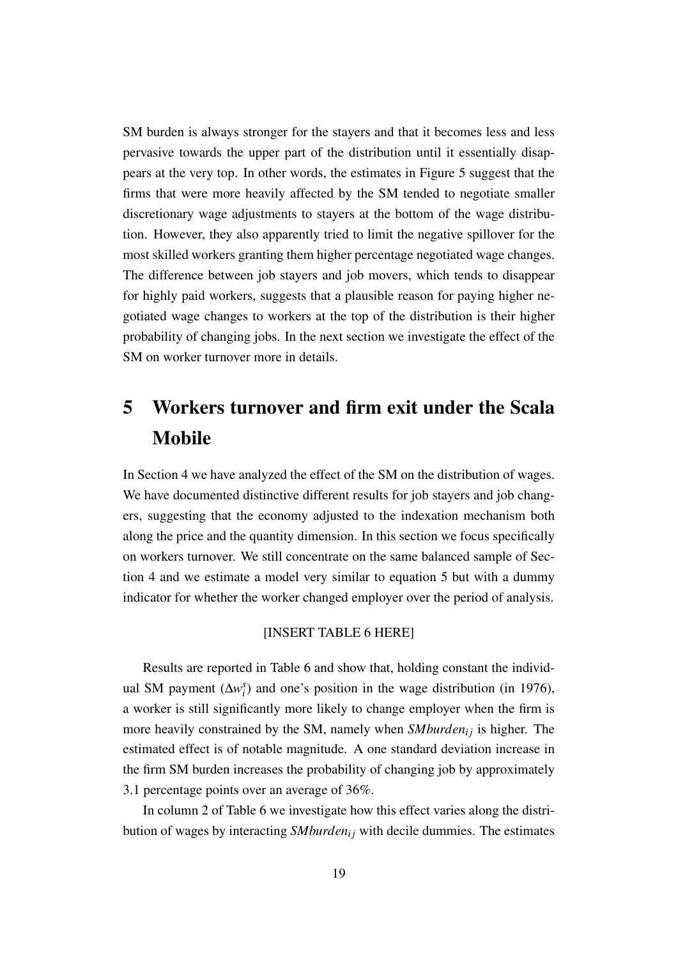SM burden is always stronger for the stayers and that it becomes less and less pervasive towards the upper part of the distribution until it essentially disappears at the very top. In other words, the estimates in Figure [5](#page-33-0) suggest that the firms that were more heavily affected by the SM tended to negotiate smaller discretionary wage adjustments to stayers at the bottom of the wage distribution. However, they also apparently tried to limit the negative spillover for the most skilled workers granting them higher percentage negotiated wage changes. The difference between job stayers and job movers, which tends to disappear for highly paid workers, suggests that a plausible reason for paying higher negotiated wage changes to workers at the top of the distribution is their higher probability of changing jobs. In the next section we investigate the effect of the SM on worker turnover more in details.

# <span id="page-20-0"></span>5 Workers turnover and firm exit under the Scala Mobile

In Section [4](#page-13-0) we have analyzed the effect of the SM on the distribution of wages. We have documented distinctive different results for job stayers and job changers, suggesting that the economy adjusted to the indexation mechanism both along the price and the quantity dimension. In this section we focus specifically on workers turnover. We still concentrate on the same balanced sample of Section [4](#page-13-0) and we estimate a model very similar to equation [5](#page-19-2) but with a dummy indicator for whether the worker changed employer over the period of analysis.

#### [INSERT TABLE [6](#page-39-0) HERE]

Results are reported in Table [6](#page-39-0) and show that, holding constant the individual SM payment  $(\Delta w_i^s)$  and one's position in the wage distribution (in 1976), a worker is still significantly more likely to change employer when the firm is more heavily constrained by the SM, namely when *SMburden<sub>ij</sub>* is higher. The estimated effect is of notable magnitude. A one standard deviation increase in the firm SM burden increases the probability of changing job by approximately 3.1 percentage points over an average of 36%.

In column 2 of Table [6](#page-39-0) we investigate how this effect varies along the distribution of wages by interacting *SMburden*<sub>*i*j</sub> with decile dummies. The estimates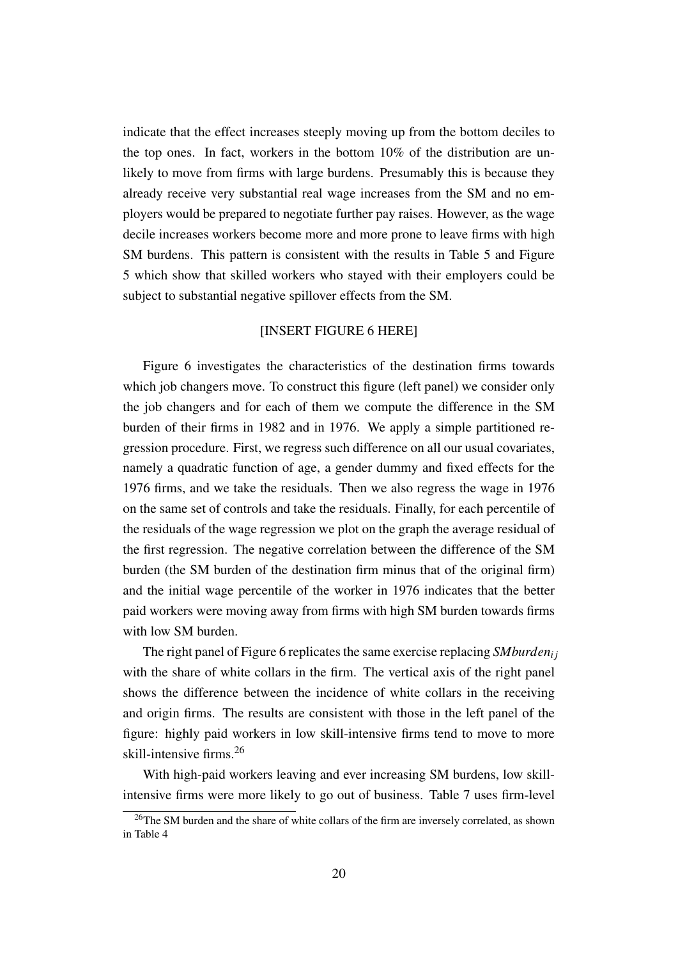indicate that the effect increases steeply moving up from the bottom deciles to the top ones. In fact, workers in the bottom 10% of the distribution are unlikely to move from firms with large burdens. Presumably this is because they already receive very substantial real wage increases from the SM and no employers would be prepared to negotiate further pay raises. However, as the wage decile increases workers become more and more prone to leave firms with high SM burdens. This pattern is consistent with the results in Table [5](#page-38-0) and Figure [5](#page-33-0) which show that skilled workers who stayed with their employers could be subject to substantial negative spillover effects from the SM.

#### [INSERT FIGURE [6](#page-33-1) HERE]

Figure [6](#page-33-1) investigates the characteristics of the destination firms towards which job changers move. To construct this figure (left panel) we consider only the job changers and for each of them we compute the difference in the SM burden of their firms in 1982 and in 1976. We apply a simple partitioned regression procedure. First, we regress such difference on all our usual covariates, namely a quadratic function of age, a gender dummy and fixed effects for the 1976 firms, and we take the residuals. Then we also regress the wage in 1976 on the same set of controls and take the residuals. Finally, for each percentile of the residuals of the wage regression we plot on the graph the average residual of the first regression. The negative correlation between the difference of the SM burden (the SM burden of the destination firm minus that of the original firm) and the initial wage percentile of the worker in 1976 indicates that the better paid workers were moving away from firms with high SM burden towards firms with low SM burden.

The right panel of Figure [6](#page-33-1) replicates the same exercise replacing *SMburdeni j* with the share of white collars in the firm. The vertical axis of the right panel shows the difference between the incidence of white collars in the receiving and origin firms. The results are consistent with those in the left panel of the figure: highly paid workers in low skill-intensive firms tend to move to more skill-intensive firms.[26](#page-21-0)

With high-paid workers leaving and ever increasing SM burdens, low skillintensive firms were more likely to go out of business. Table [7](#page-40-0) uses firm-level

<span id="page-21-0"></span><sup>&</sup>lt;sup>26</sup>The SM burden and the share of white collars of the firm are inversely correlated, as shown in Table [4](#page-37-0)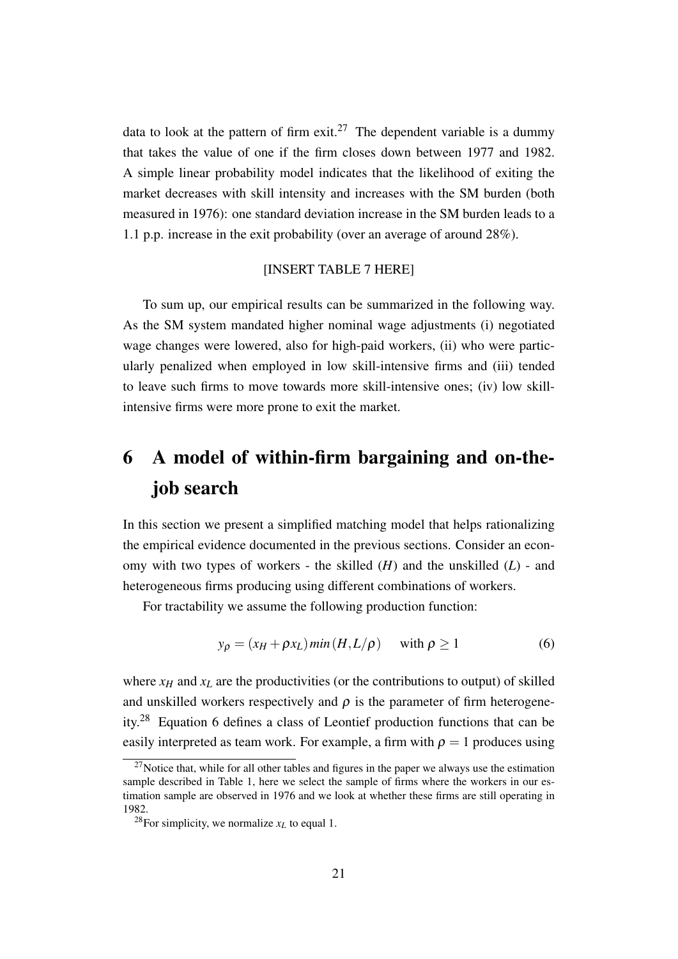data to look at the pattern of firm exit.<sup>[27](#page-22-1)</sup> The dependent variable is a dummy that takes the value of one if the firm closes down between 1977 and 1982. A simple linear probability model indicates that the likelihood of exiting the market decreases with skill intensity and increases with the SM burden (both measured in 1976): one standard deviation increase in the SM burden leads to a 1.1 p.p. increase in the exit probability (over an average of around 28%).

#### [INSERT TABLE [7](#page-40-0) HERE]

To sum up, our empirical results can be summarized in the following way. As the SM system mandated higher nominal wage adjustments (i) negotiated wage changes were lowered, also for high-paid workers, (ii) who were particularly penalized when employed in low skill-intensive firms and (iii) tended to leave such firms to move towards more skill-intensive ones; (iv) low skillintensive firms were more prone to exit the market.

# <span id="page-22-0"></span>6 A model of within-firm bargaining and on-thejob search

In this section we present a simplified matching model that helps rationalizing the empirical evidence documented in the previous sections. Consider an economy with two types of workers - the skilled (*H*) and the unskilled (*L*) - and heterogeneous firms producing using different combinations of workers.

For tractability we assume the following production function:

<span id="page-22-3"></span>
$$
y_{\rho} = (x_H + \rho x_L) \min(H, L/\rho) \quad \text{with } \rho \ge 1 \tag{6}
$$

where  $x_H$  and  $x_L$  are the productivities (or the contributions to output) of skilled and unskilled workers respectively and  $\rho$  is the parameter of firm heterogeneity.[28](#page-22-2) Equation [6](#page-22-3) defines a class of Leontief production functions that can be easily interpreted as team work. For example, a firm with  $\rho = 1$  produces using

<span id="page-22-1"></span> $27$ Notice that, while for all other tables and figures in the paper we always use the estimation sample described in Table [1,](#page-34-0) here we select the sample of firms where the workers in our estimation sample are observed in 1976 and we look at whether these firms are still operating in 1982.

<span id="page-22-2"></span><sup>&</sup>lt;sup>28</sup>For simplicity, we normalize  $x_L$  to equal 1.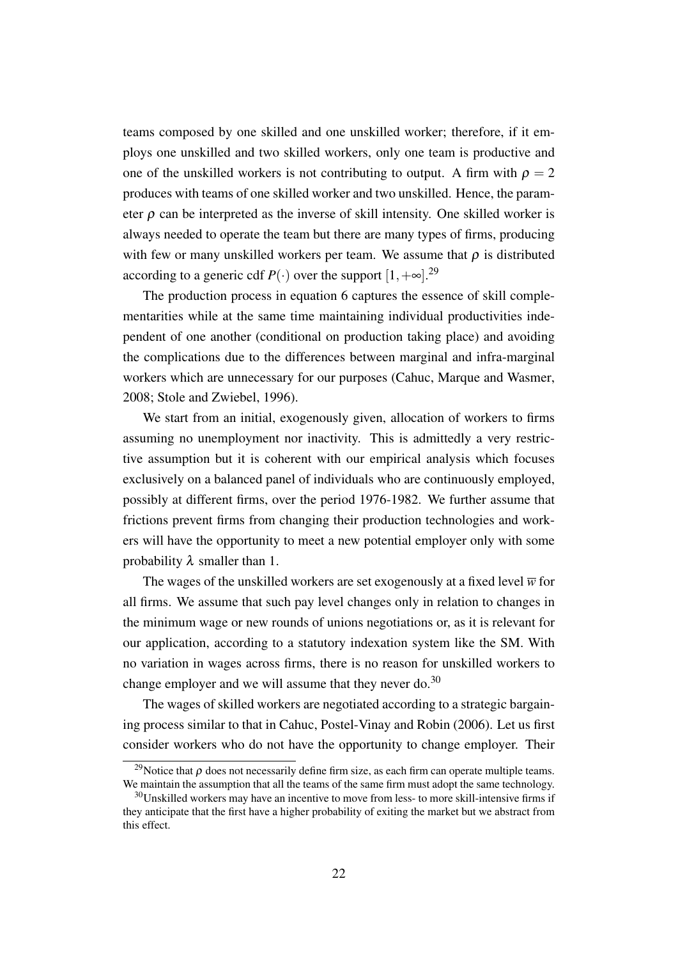teams composed by one skilled and one unskilled worker; therefore, if it employs one unskilled and two skilled workers, only one team is productive and one of the unskilled workers is not contributing to output. A firm with  $\rho = 2$ produces with teams of one skilled worker and two unskilled. Hence, the parameter  $\rho$  can be interpreted as the inverse of skill intensity. One skilled worker is always needed to operate the team but there are many types of firms, producing with few or many unskilled workers per team. We assume that  $\rho$  is distributed according to a generic cdf  $P(\cdot)$  over the support  $[1, +\infty]$ .<sup>[29](#page-23-0)</sup>

The production process in equation [6](#page-22-3) captures the essence of skill complementarities while at the same time maintaining individual productivities independent of one another (conditional on production taking place) and avoiding the complications due to the differences between marginal and infra-marginal workers which are unnecessary for our purposes [\(Cahuc, Marque and Wasmer,](#page-28-2) [2008;](#page-28-2) [Stole and Zwiebel, 1996\)](#page-30-4).

We start from an initial, exogenously given, allocation of workers to firms assuming no unemployment nor inactivity. This is admittedly a very restrictive assumption but it is coherent with our empirical analysis which focuses exclusively on a balanced panel of individuals who are continuously employed, possibly at different firms, over the period 1976-1982. We further assume that frictions prevent firms from changing their production technologies and workers will have the opportunity to meet a new potential employer only with some probability  $\lambda$  smaller than 1.

The wages of the unskilled workers are set exogenously at a fixed level  $\overline{w}$  for all firms. We assume that such pay level changes only in relation to changes in the minimum wage or new rounds of unions negotiations or, as it is relevant for our application, according to a statutory indexation system like the SM. With no variation in wages across firms, there is no reason for unskilled workers to change employer and we will assume that they never do. $30$ 

The wages of skilled workers are negotiated according to a strategic bargaining process similar to that in [Cahuc, Postel-Vinay and Robin](#page-28-1) [\(2006\)](#page-28-1). Let us first consider workers who do not have the opportunity to change employer. Their

<span id="page-23-0"></span><sup>&</sup>lt;sup>29</sup>Notice that  $\rho$  does not necessarily define firm size, as each firm can operate multiple teams. We maintain the assumption that all the teams of the same firm must adopt the same technology.

<span id="page-23-1"></span> $30$ Unskilled workers may have an incentive to move from less- to more skill-intensive firms if they anticipate that the first have a higher probability of exiting the market but we abstract from this effect.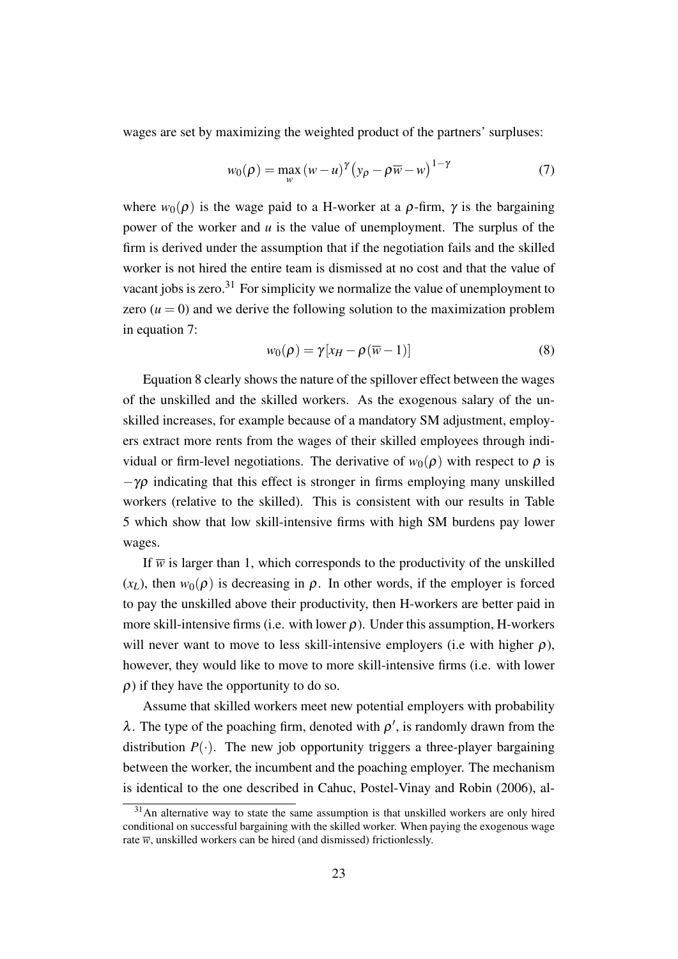wages are set by maximizing the weighted product of the partners' surpluses:

<span id="page-24-1"></span>
$$
w_0(\rho) = \max_{w} (w - u)^{\gamma} (y_{\rho} - \rho \overline{w} - w)^{1 - \gamma}
$$
 (7)

where  $w_0(\rho)$  is the wage paid to a H-worker at a  $\rho$ -firm,  $\gamma$  is the bargaining power of the worker and *u* is the value of unemployment. The surplus of the firm is derived under the assumption that if the negotiation fails and the skilled worker is not hired the entire team is dismissed at no cost and that the value of vacant jobs is zero. $31$  For simplicity we normalize the value of unemployment to zero  $(u = 0)$  and we derive the following solution to the maximization problem in equation [7:](#page-24-1)

<span id="page-24-2"></span>
$$
w_0(\rho) = \gamma [x_H - \rho(\overline{w} - 1)] \tag{8}
$$

Equation [8](#page-24-2) clearly shows the nature of the spillover effect between the wages of the unskilled and the skilled workers. As the exogenous salary of the unskilled increases, for example because of a mandatory SM adjustment, employers extract more rents from the wages of their skilled employees through individual or firm-level negotiations. The derivative of  $w_0(\rho)$  with respect to  $\rho$  is  $-\gamma \rho$  indicating that this effect is stronger in firms employing many unskilled workers (relative to the skilled). This is consistent with our results in Table [5](#page-38-0) which show that low skill-intensive firms with high SM burdens pay lower wages.

If  $\overline{w}$  is larger than 1, which corresponds to the productivity of the unskilled  $(x_L)$ , then  $w_0(\rho)$  is decreasing in  $\rho$ . In other words, if the employer is forced to pay the unskilled above their productivity, then H-workers are better paid in more skill-intensive firms (i.e. with lower  $\rho$ ). Under this assumption, H-workers will never want to move to less skill-intensive employers (i.e with higher  $\rho$ ), however, they would like to move to more skill-intensive firms (i.e. with lower  $\rho$ ) if they have the opportunity to do so.

Assume that skilled workers meet new potential employers with probability  $\lambda$ . The type of the poaching firm, denoted with  $\rho'$ , is randomly drawn from the distribution  $P(\cdot)$ . The new job opportunity triggers a three-player bargaining between the worker, the incumbent and the poaching employer. The mechanism is identical to the one described in [Cahuc, Postel-Vinay and Robin](#page-28-1) [\(2006\)](#page-28-1), al-

<span id="page-24-0"></span> $31$ An alternative way to state the same assumption is that unskilled workers are only hired conditional on successful bargaining with the skilled worker. When paying the exogenous wage rate  $\overline{w}$ , unskilled workers can be hired (and dismissed) frictionlessly.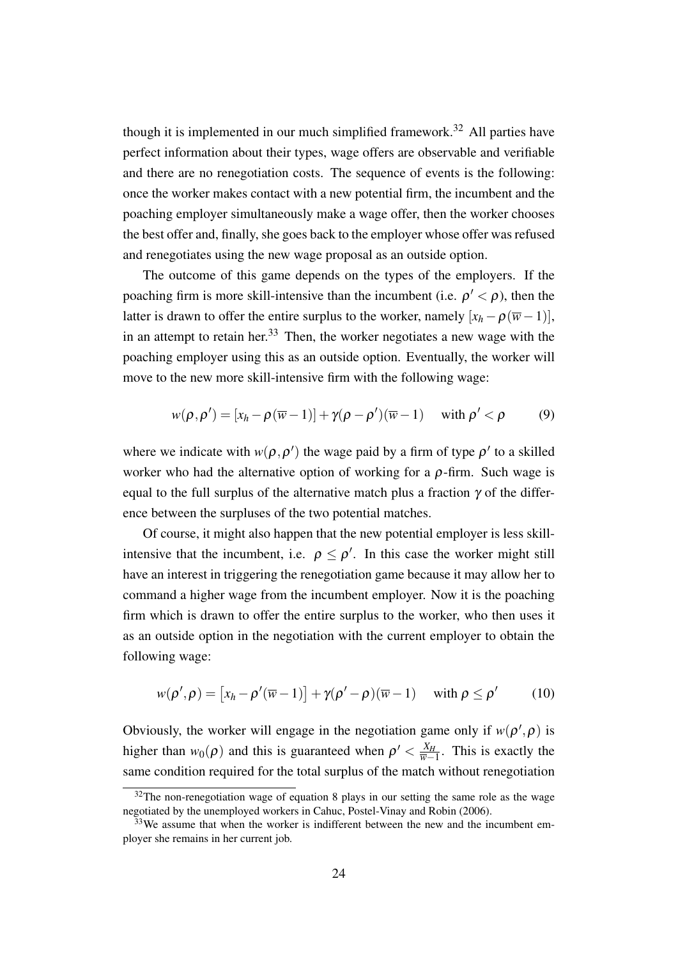though it is implemented in our much simplified framework.<sup>[32](#page-25-0)</sup> All parties have perfect information about their types, wage offers are observable and verifiable and there are no renegotiation costs. The sequence of events is the following: once the worker makes contact with a new potential firm, the incumbent and the poaching employer simultaneously make a wage offer, then the worker chooses the best offer and, finally, she goes back to the employer whose offer was refused and renegotiates using the new wage proposal as an outside option.

The outcome of this game depends on the types of the employers. If the poaching firm is more skill-intensive than the incumbent (i.e.  $\rho' < \rho$ ), then the latter is drawn to offer the entire surplus to the worker, namely  $[x_h - \rho(\overline{w} - 1)],$ in an attempt to retain her.<sup>[33](#page-25-1)</sup> Then, the worker negotiates a new wage with the poaching employer using this as an outside option. Eventually, the worker will move to the new more skill-intensive firm with the following wage:

$$
w(\rho, \rho') = [x_h - \rho(\overline{w} - 1)] + \gamma(\rho - \rho')(\overline{w} - 1) \quad \text{with } \rho' < \rho
$$
 (9)

where we indicate with  $w(\rho, \rho')$  the wage paid by a firm of type  $\rho'$  to a skilled worker who had the alternative option of working for a  $\rho$ -firm. Such wage is equal to the full surplus of the alternative match plus a fraction  $\gamma$  of the difference between the surpluses of the two potential matches.

Of course, it might also happen that the new potential employer is less skillintensive that the incumbent, i.e.  $\rho \leq \rho'$ . In this case the worker might still have an interest in triggering the renegotiation game because it may allow her to command a higher wage from the incumbent employer. Now it is the poaching firm which is drawn to offer the entire surplus to the worker, who then uses it as an outside option in the negotiation with the current employer to obtain the following wage:

$$
w(\rho', \rho) = [x_h - \rho'(\overline{w} - 1)] + \gamma(\rho' - \rho)(\overline{w} - 1) \quad \text{with } \rho \le \rho' \tag{10}
$$

Obviously, the worker will engage in the negotiation game only if  $w(\rho', \rho)$  is higher than  $w_0(\rho)$  and this is guaranteed when  $\rho' < \frac{X_H}{\overline{w}-1}$  $\frac{X_H}{\overline{w}-1}$ . This is exactly the same condition required for the total surplus of the match without renegotiation

<span id="page-25-0"></span> $32$ The non-renegotiation wage of equation [8](#page-24-2) plays in our setting the same role as the wage negotiated by the unemployed workers in [Cahuc, Postel-Vinay and Robin](#page-28-1) [\(2006\)](#page-28-1).

<span id="page-25-1"></span> $33$ We assume that when the worker is indifferent between the new and the incumbent employer she remains in her current job.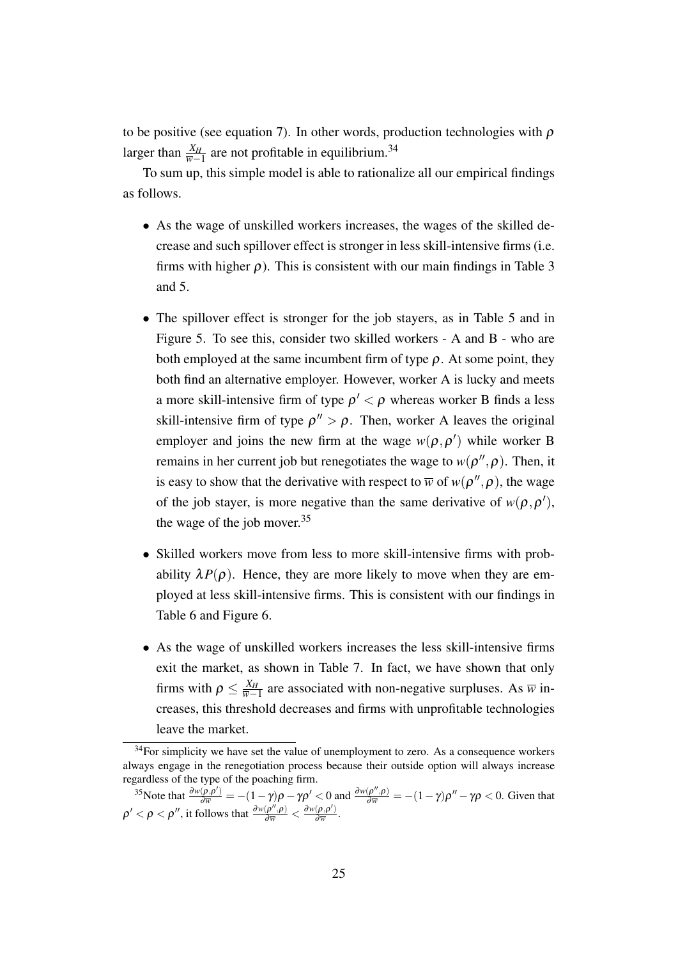to be positive (see equation [7\)](#page-24-1). In other words, production technologies with  $\rho$ larger than  $\frac{X_H}{\overline{w}-1}$  are not profitable in equilibrium.<sup>[34](#page-26-0)</sup>

To sum up, this simple model is able to rationalize all our empirical findings as follows.

- As the wage of unskilled workers increases, the wages of the skilled decrease and such spillover effect is stronger in less skill-intensive firms (i.e. firms with higher  $\rho$ ). This is consistent with our main findings in Table [3](#page-36-0) and [5.](#page-38-0)
- The spillover effect is stronger for the job stayers, as in Table [5](#page-38-0) and in Figure [5.](#page-33-0) To see this, consider two skilled workers - A and B - who are both employed at the same incumbent firm of type  $\rho$ . At some point, they both find an alternative employer. However, worker A is lucky and meets a more skill-intensive firm of type  $\rho' < \rho$  whereas worker B finds a less skill-intensive firm of type  $\rho'' > \rho$ . Then, worker A leaves the original employer and joins the new firm at the wage  $w(\rho, \rho')$  while worker B remains in her current job but renegotiates the wage to  $w(\rho'', \rho)$ . Then, it is easy to show that the derivative with respect to  $\overline{w}$  of  $w(\rho'', \rho)$ , the wage of the job stayer, is more negative than the same derivative of  $w(\rho, \rho')$ , the wage of the job mover.[35](#page-26-1)
- Skilled workers move from less to more skill-intensive firms with probability  $\lambda P(\rho)$ . Hence, they are more likely to move when they are employed at less skill-intensive firms. This is consistent with our findings in Table [6](#page-39-0) and Figure [6.](#page-33-1)
- As the wage of unskilled workers increases the less skill-intensive firms exit the market, as shown in Table [7.](#page-40-0) In fact, we have shown that only firms with  $\rho \leq \frac{X_H}{\overline{w}-1}$  $\frac{X_H}{\overline{w}-1}$  are associated with non-negative surpluses. As  $\overline{w}$  increases, this threshold decreases and firms with unprofitable technologies leave the market.

<span id="page-26-0"></span> $34$ For simplicity we have set the value of unemployment to zero. As a consequence workers always engage in the renegotiation process because their outside option will always increase regardless of the type of the poaching firm.

<span id="page-26-1"></span><sup>&</sup>lt;sup>35</sup>Note that  $\frac{\partial w(\rho, \rho')}{\partial \overline{w}} = -(1 - \gamma)\rho - \gamma \rho' < 0$  and  $\frac{\partial w(\rho'', \rho)}{\partial \overline{w}} = -(1 - \gamma)\rho'' - \gamma \rho < 0$ . Given that  $\rho' < \rho < \rho''$ , it follows that  $\frac{\partial w(\rho'', \rho)}{\partial \overline{w}} < \frac{\partial w(\rho, \rho')}{\partial \overline{w}}$  $rac{(\rho,\rho)}{\partial \overline{w}}$ .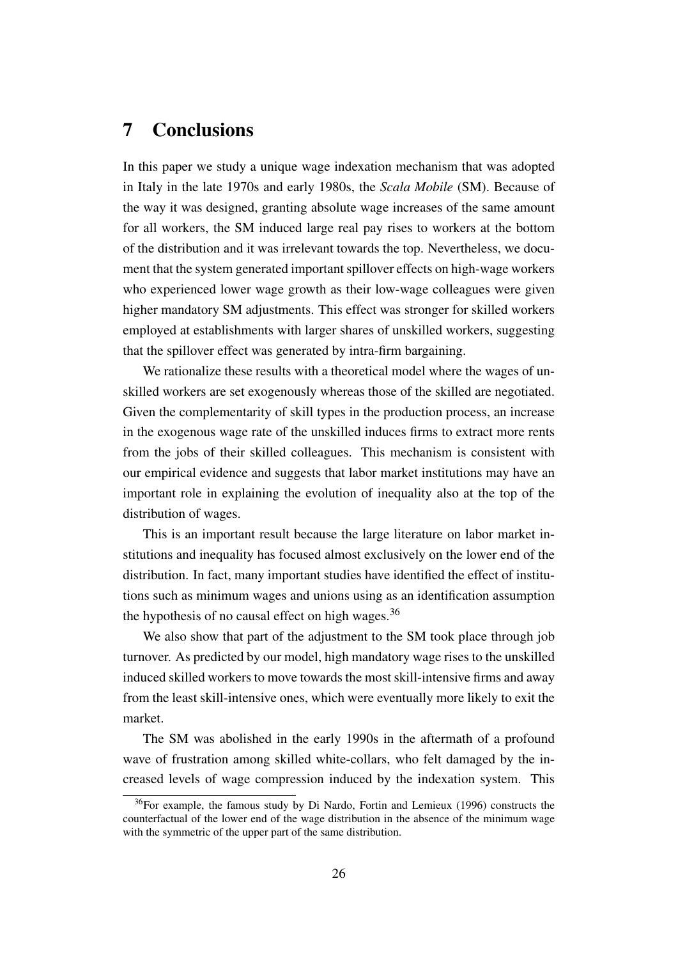### <span id="page-27-0"></span>7 Conclusions

In this paper we study a unique wage indexation mechanism that was adopted in Italy in the late 1970s and early 1980s, the *Scala Mobile* (SM). Because of the way it was designed, granting absolute wage increases of the same amount for all workers, the SM induced large real pay rises to workers at the bottom of the distribution and it was irrelevant towards the top. Nevertheless, we document that the system generated important spillover effects on high-wage workers who experienced lower wage growth as their low-wage colleagues were given higher mandatory SM adjustments. This effect was stronger for skilled workers employed at establishments with larger shares of unskilled workers, suggesting that the spillover effect was generated by intra-firm bargaining.

We rationalize these results with a theoretical model where the wages of unskilled workers are set exogenously whereas those of the skilled are negotiated. Given the complementarity of skill types in the production process, an increase in the exogenous wage rate of the unskilled induces firms to extract more rents from the jobs of their skilled colleagues. This mechanism is consistent with our empirical evidence and suggests that labor market institutions may have an important role in explaining the evolution of inequality also at the top of the distribution of wages.

This is an important result because the large literature on labor market institutions and inequality has focused almost exclusively on the lower end of the distribution. In fact, many important studies have identified the effect of institutions such as minimum wages and unions using as an identification assumption the hypothesis of no causal effect on high wages.<sup>[36](#page-27-1)</sup>

We also show that part of the adjustment to the SM took place through job turnover. As predicted by our model, high mandatory wage rises to the unskilled induced skilled workers to move towards the most skill-intensive firms and away from the least skill-intensive ones, which were eventually more likely to exit the market.

The SM was abolished in the early 1990s in the aftermath of a profound wave of frustration among skilled white-collars, who felt damaged by the increased levels of wage compression induced by the indexation system. This

<span id="page-27-1"></span><sup>36</sup>For example, the famous study by [Di Nardo, Fortin and Lemieux](#page-29-1) [\(1996\)](#page-29-1) constructs the counterfactual of the lower end of the wage distribution in the absence of the minimum wage with the symmetric of the upper part of the same distribution.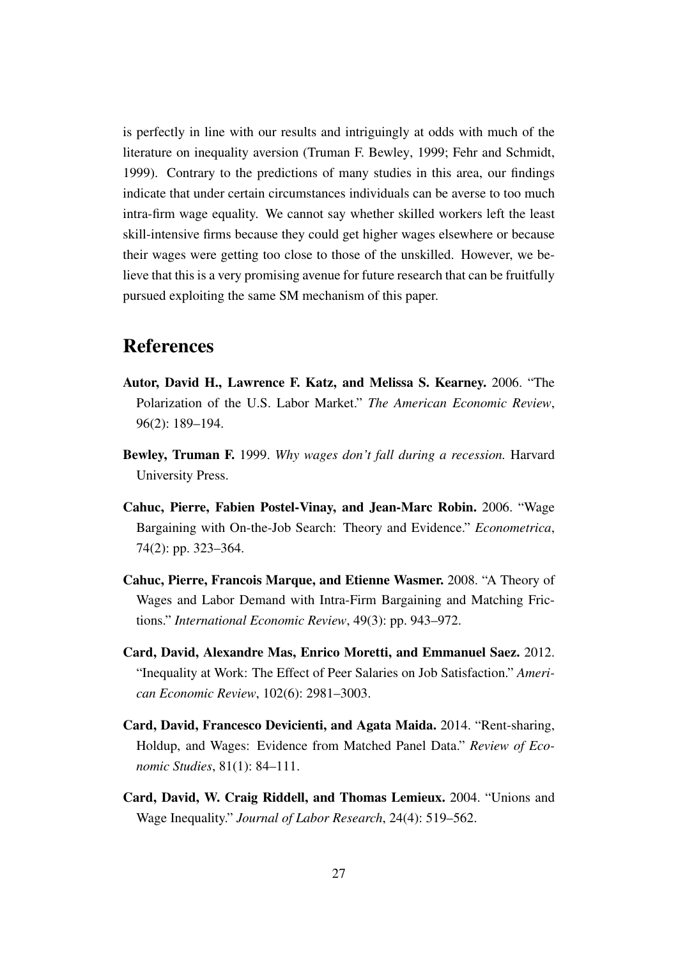is perfectly in line with our results and intriguingly at odds with much of the literature on inequality aversion [\(Truman F. Bewley, 1999;](#page-28-6) [Fehr and Schmidt,](#page-29-5) [1999\)](#page-29-5). Contrary to the predictions of many studies in this area, our findings indicate that under certain circumstances individuals can be averse to too much intra-firm wage equality. We cannot say whether skilled workers left the least skill-intensive firms because they could get higher wages elsewhere or because their wages were getting too close to those of the unskilled. However, we believe that this is a very promising avenue for future research that can be fruitfully pursued exploiting the same SM mechanism of this paper.

## References

- <span id="page-28-5"></span>Autor, David H., Lawrence F. Katz, and Melissa S. Kearney. 2006. "The Polarization of the U.S. Labor Market." *The American Economic Review*, 96(2): 189–194.
- <span id="page-28-6"></span>Bewley, Truman F. 1999. *Why wages don't fall during a recession.* Harvard University Press.
- <span id="page-28-1"></span>Cahuc, Pierre, Fabien Postel-Vinay, and Jean-Marc Robin. 2006. "Wage Bargaining with On-the-Job Search: Theory and Evidence." *Econometrica*, 74(2): pp. 323–364.
- <span id="page-28-2"></span>Cahuc, Pierre, Francois Marque, and Etienne Wasmer. 2008. "A Theory of Wages and Labor Demand with Intra-Firm Bargaining and Matching Frictions." *International Economic Review*, 49(3): pp. 943–972.
- <span id="page-28-3"></span>Card, David, Alexandre Mas, Enrico Moretti, and Emmanuel Saez. 2012. "Inequality at Work: The Effect of Peer Salaries on Job Satisfaction." *American Economic Review*, 102(6): 2981–3003.
- <span id="page-28-4"></span>Card, David, Francesco Devicienti, and Agata Maida. 2014. "Rent-sharing, Holdup, and Wages: Evidence from Matched Panel Data." *Review of Economic Studies*, 81(1): 84–111.
- <span id="page-28-0"></span>Card, David, W. Craig Riddell, and Thomas Lemieux. 2004. "Unions and Wage Inequality." *Journal of Labor Research*, 24(4): 519–562.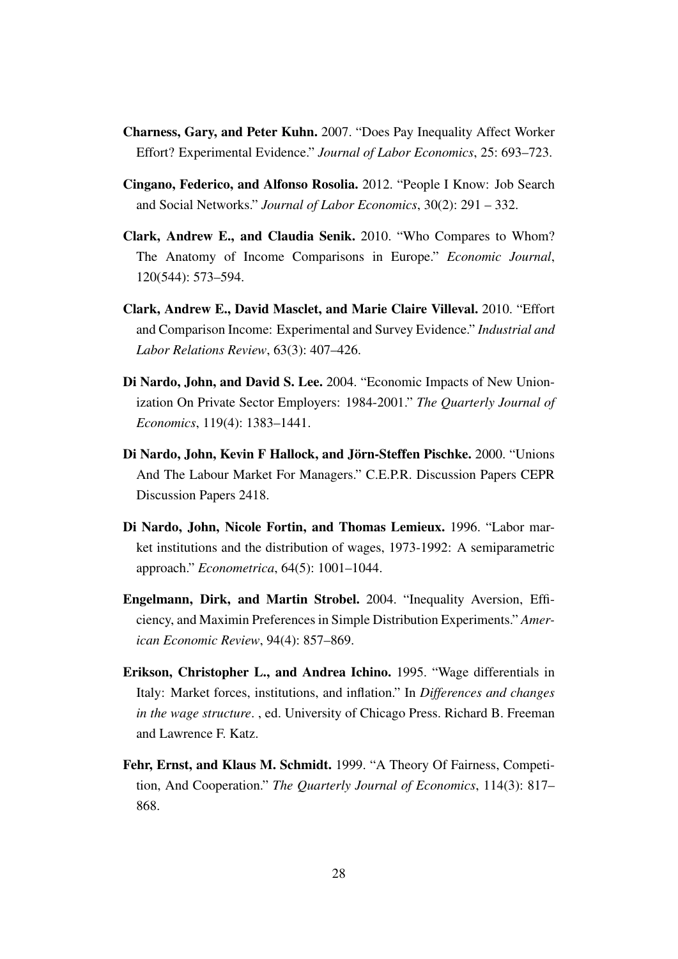- <span id="page-29-3"></span>Charness, Gary, and Peter Kuhn. 2007. "Does Pay Inequality Affect Worker Effort? Experimental Evidence." *Journal of Labor Economics*, 25: 693–723.
- <span id="page-29-8"></span>Cingano, Federico, and Alfonso Rosolia. 2012. "People I Know: Job Search and Social Networks." *Journal of Labor Economics*, 30(2): 291 – 332.
- <span id="page-29-6"></span>Clark, Andrew E., and Claudia Senik. 2010. "Who Compares to Whom? The Anatomy of Income Comparisons in Europe." *Economic Journal*, 120(544): 573–594.
- <span id="page-29-7"></span>Clark, Andrew E., David Masclet, and Marie Claire Villeval. 2010. "Effort and Comparison Income: Experimental and Survey Evidence." *Industrial and Labor Relations Review*, 63(3): 407–426.
- <span id="page-29-0"></span>Di Nardo, John, and David S. Lee. 2004. "Economic Impacts of New Unionization On Private Sector Employers: 1984-2001." *The Quarterly Journal of Economics*, 119(4): 1383–1441.
- <span id="page-29-2"></span>Di Nardo, John, Kevin F Hallock, and Jörn-Steffen Pischke. 2000. "Unions And The Labour Market For Managers." C.E.P.R. Discussion Papers CEPR Discussion Papers 2418.
- <span id="page-29-1"></span>Di Nardo, John, Nicole Fortin, and Thomas Lemieux. 1996. "Labor market institutions and the distribution of wages, 1973-1992: A semiparametric approach." *Econometrica*, 64(5): 1001–1044.
- <span id="page-29-4"></span>Engelmann, Dirk, and Martin Strobel. 2004. "Inequality Aversion, Efficiency, and Maximin Preferences in Simple Distribution Experiments." *American Economic Review*, 94(4): 857–869.
- <span id="page-29-9"></span>Erikson, Christopher L., and Andrea Ichino. 1995. "Wage differentials in Italy: Market forces, institutions, and inflation." In *Differences and changes in the wage structure*. , ed. University of Chicago Press. Richard B. Freeman and Lawrence F. Katz.
- <span id="page-29-5"></span>Fehr, Ernst, and Klaus M. Schmidt. 1999. "A Theory Of Fairness, Competition, And Cooperation." *The Quarterly Journal of Economics*, 114(3): 817– 868.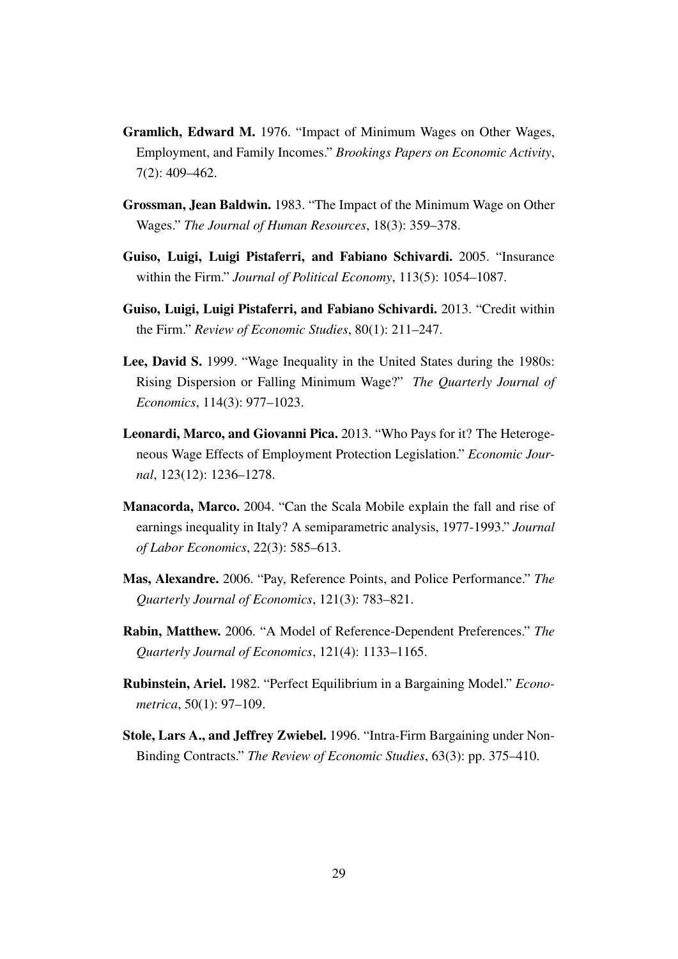- <span id="page-30-2"></span>Gramlich, Edward M. 1976. "Impact of Minimum Wages on Other Wages, Employment, and Family Incomes." *Brookings Papers on Economic Activity*, 7(2): 409–462.
- <span id="page-30-3"></span>Grossman, Jean Baldwin. 1983. "The Impact of the Minimum Wage on Other Wages." *The Journal of Human Resources*, 18(3): 359–378.
- <span id="page-30-6"></span>Guiso, Luigi, Luigi Pistaferri, and Fabiano Schivardi. 2005. "Insurance within the Firm." *Journal of Political Economy*, 113(5): 1054–1087.
- <span id="page-30-7"></span>Guiso, Luigi, Luigi Pistaferri, and Fabiano Schivardi. 2013. "Credit within the Firm." *Review of Economic Studies*, 80(1): 211–247.
- <span id="page-30-0"></span>Lee, David S. 1999. "Wage Inequality in the United States during the 1980s: Rising Dispersion or Falling Minimum Wage?" *The Quarterly Journal of Economics*, 114(3): 977–1023.
- <span id="page-30-10"></span>Leonardi, Marco, and Giovanni Pica. 2013. "Who Pays for it? The Heterogeneous Wage Effects of Employment Protection Legislation." *Economic Journal*, 123(12): 1236–1278.
- <span id="page-30-1"></span>Manacorda, Marco. 2004. "Can the Scala Mobile explain the fall and rise of earnings inequality in Italy? A semiparametric analysis, 1977-1993." *Journal of Labor Economics*, 22(3): 585–613.
- <span id="page-30-8"></span>Mas, Alexandre. 2006. "Pay, Reference Points, and Police Performance." *The Quarterly Journal of Economics*, 121(3): 783–821.
- <span id="page-30-9"></span>Rabin, Matthew. 2006. "A Model of Reference-Dependent Preferences." *The Quarterly Journal of Economics*, 121(4): 1133–1165.
- <span id="page-30-5"></span>Rubinstein, Ariel. 1982. "Perfect Equilibrium in a Bargaining Model." *Econometrica*, 50(1): 97–109.
- <span id="page-30-4"></span>Stole, Lars A., and Jeffrey Zwiebel. 1996. "Intra-Firm Bargaining under Non-Binding Contracts." *The Review of Economic Studies*, 63(3): pp. 375–410.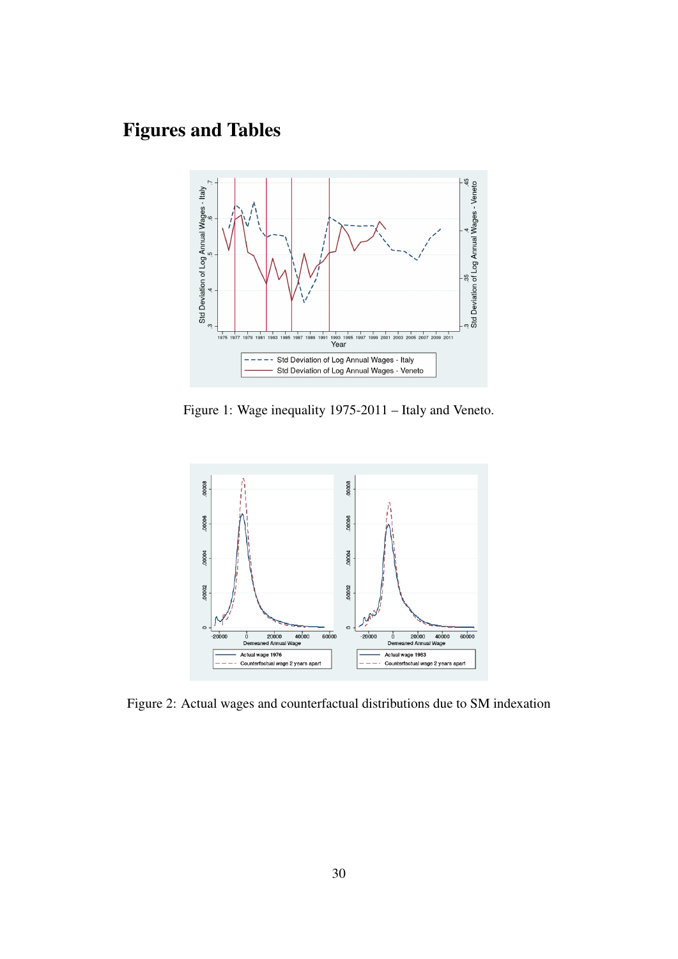# Figures and Tables



<span id="page-31-0"></span>Figure 1: Wage inequality 1975-2011 – Italy and Veneto.



<span id="page-31-1"></span>Figure 2: Actual wages and counterfactual distributions due to SM indexation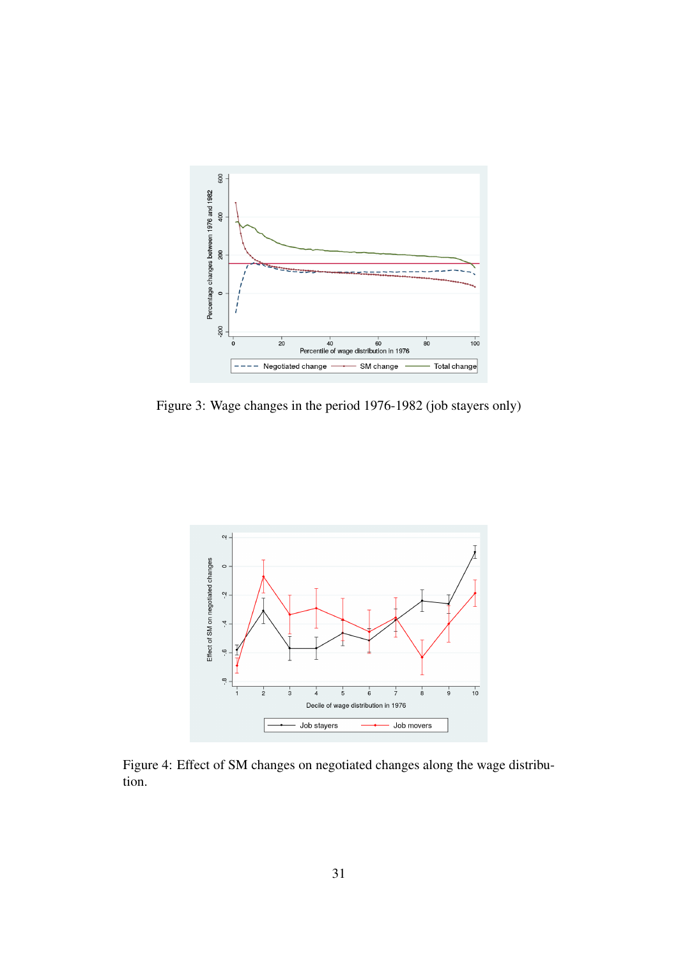

<span id="page-32-0"></span>Figure 3: Wage changes in the period 1976-1982 (job stayers only)



<span id="page-32-1"></span>Figure 4: Effect of SM changes on negotiated changes along the wage distribution.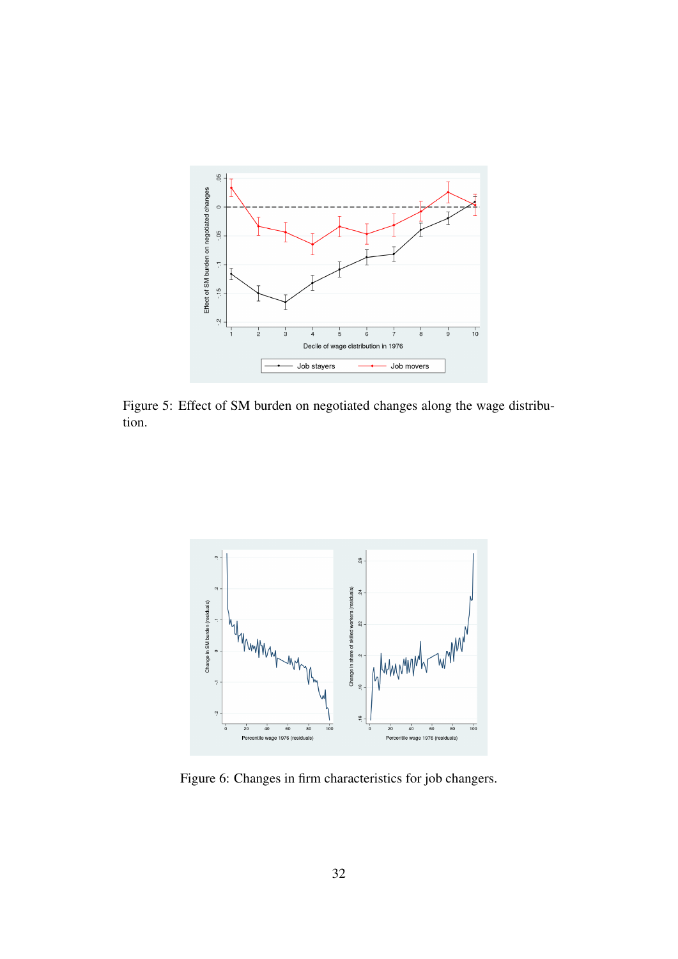

<span id="page-33-0"></span>Figure 5: Effect of SM burden on negotiated changes along the wage distribution.



<span id="page-33-1"></span>Figure 6: Changes in firm characteristics for job changers.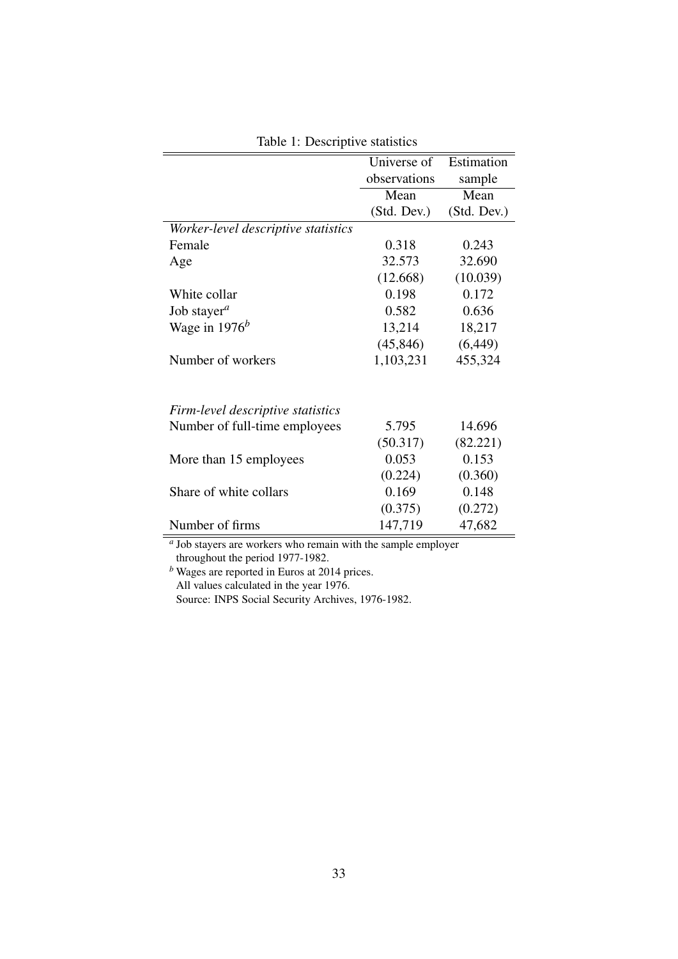|                                     | Universe of  | Estimation  |
|-------------------------------------|--------------|-------------|
|                                     | observations | sample      |
|                                     | Mean         | Mean        |
|                                     | (Std. Dev.)  | (Std. Dev.) |
| Worker-level descriptive statistics |              |             |
| Female                              | 0.318        | 0.243       |
| Age                                 | 32.573       | 32.690      |
|                                     | (12.668)     | (10.039)    |
| White collar                        | 0.198        | 0.172       |
| Job stayer <sup><i>a</i></sup>      | 0.582        | 0.636       |
| Wage in $1976^b$                    | 13,214       | 18,217      |
|                                     | (45, 846)    | (6, 449)    |
| Number of workers                   | 1,103,231    | 455,324     |
|                                     |              |             |
| Firm-level descriptive statistics   |              |             |
| Number of full-time employees       | 5.795        | 14.696      |
|                                     | (50.317)     | (82.221)    |
| More than 15 employees              | 0.053        | 0.153       |
|                                     | (0.224)      | (0.360)     |
| Share of white collars              | 0.169        | 0.148       |
|                                     | (0.375)      | (0.272)     |
| Number of firms                     | 147,719      | 47,682      |
|                                     |              |             |

<span id="page-34-0"></span>Table 1: Descriptive statistics

*a* Job stayers are workers who remain with the sample employer throughout the period 1977-1982.

*<sup>b</sup>* Wages are reported in Euros at 2014 prices. All values calculated in the year 1976.

Source: INPS Social Security Archives, 1976-1982.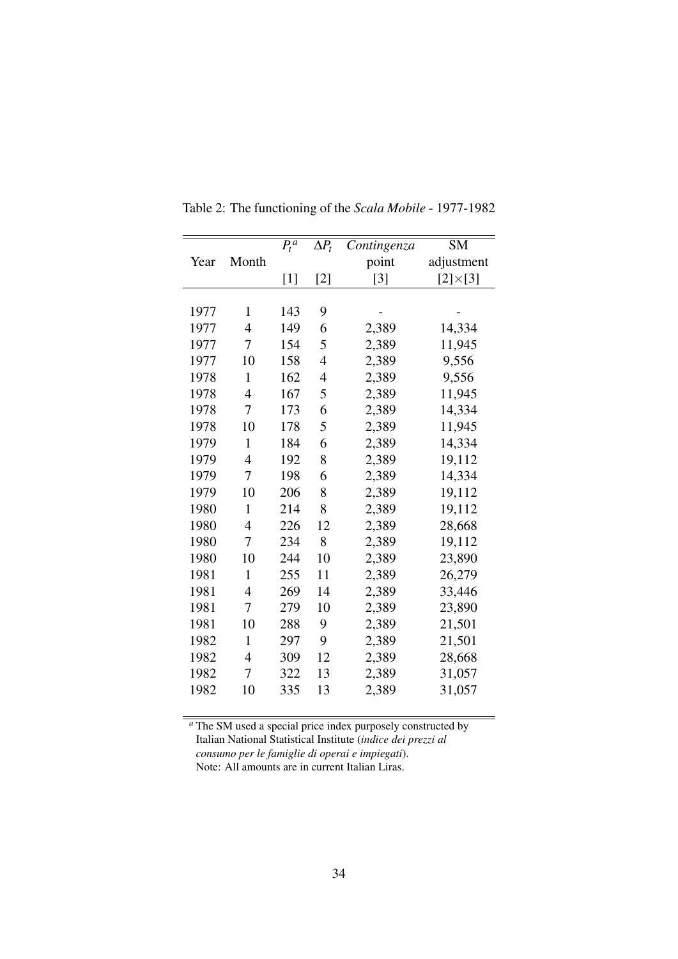|      |                | $\overline{P_t^a}$ | $\Delta P_t$   | Contingenza | <b>SM</b>        |
|------|----------------|--------------------|----------------|-------------|------------------|
| Year | Month          |                    |                | point       | adjustment       |
|      |                | $[1]$              | $[2]$          | $[3]$       | $[2] \times [3]$ |
|      |                |                    |                |             |                  |
| 1977 | $\mathbf{1}$   | 143                | 9              |             |                  |
| 1977 | $\overline{4}$ | 149                | 6              | 2,389       | 14,334           |
| 1977 | 7              | 154                | 5              | 2,389       | 11,945           |
| 1977 | 10             | 158                | $\overline{4}$ | 2,389       | 9,556            |
| 1978 | 1              | 162                | 4              | 2,389       | 9,556            |
| 1978 | $\overline{4}$ | 167                | 5              | 2,389       | 11,945           |
| 1978 | 7              | 173                | 6              | 2,389       | 14,334           |
| 1978 | 10             | 178                | 5              | 2,389       | 11,945           |
| 1979 | 1              | 184                | 6              | 2,389       | 14,334           |
| 1979 | $\overline{4}$ | 192                | 8              | 2,389       | 19,112           |
| 1979 | 7              | 198                | 6              | 2,389       | 14,334           |
| 1979 | 10             | 206                | 8              | 2,389       | 19,112           |
| 1980 | $\mathbf{1}$   | 214                | 8              | 2,389       | 19,112           |
| 1980 | $\overline{4}$ | 226                | 12             | 2,389       | 28,668           |
| 1980 | 7              | 234                | 8              | 2,389       | 19,112           |
| 1980 | 10             | 244                | 10             | 2,389       | 23,890           |
| 1981 | $\mathbf{1}$   | 255                | 11             | 2,389       | 26,279           |
| 1981 | $\overline{4}$ | 269                | 14             | 2,389       | 33,446           |
| 1981 | 7              | 279                | 10             | 2,389       | 23,890           |
| 1981 | 10             | 288                | 9              | 2,389       | 21,501           |
| 1982 | $\mathbf{1}$   | 297                | 9              | 2,389       | 21,501           |
| 1982 | $\overline{4}$ | 309                | 12             | 2,389       | 28,668           |
| 1982 | 7              | 322                | 13             | 2,389       | 31,057           |
| 1982 | 10             | 335                | 13             | 2,389       | 31,057           |
|      |                |                    |                |             |                  |

<span id="page-35-0"></span>Table 2: The functioning of the *Scala Mobile* - 1977-1982

*<sup>a</sup>* The SM used a special price index purposely constructed by Italian National Statistical Institute (*indice dei prezzi al consumo per le famiglie di operai e impiegati*). Note: All amounts are in current Italian Liras.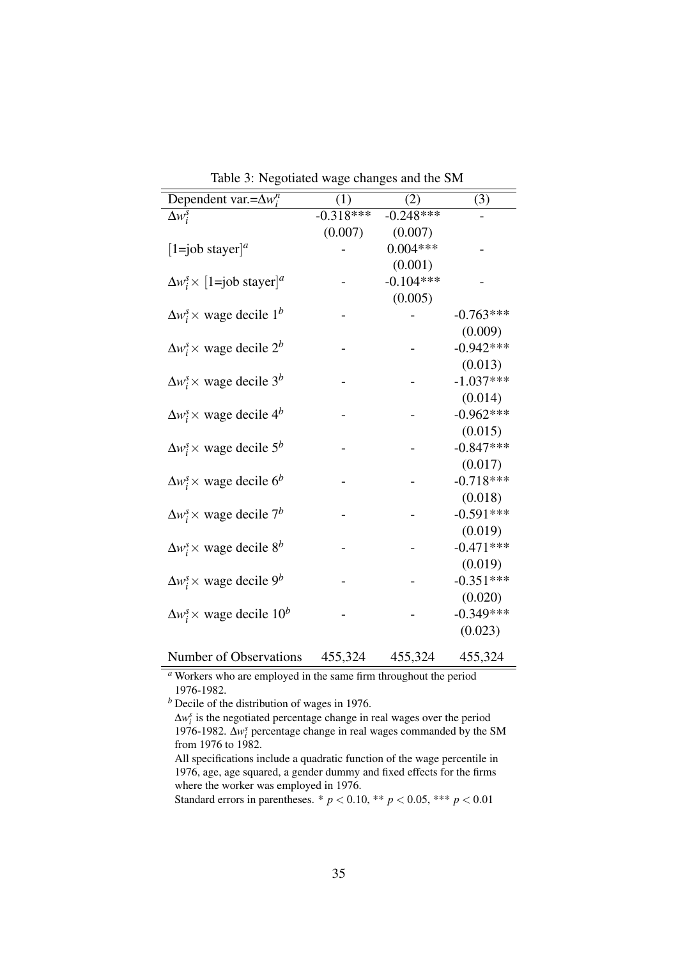| Dependent var.= $\Delta w_i^n$                              | (1)         | (2)         | (3)         |
|-------------------------------------------------------------|-------------|-------------|-------------|
| $\Delta w_i^s$                                              | $-0.318***$ | $-0.248***$ |             |
|                                                             | (0.007)     | (0.007)     |             |
| [1=job stayer] <sup><i>a</i></sup>                          |             | $0.004***$  |             |
|                                                             |             | (0.001)     |             |
| $\Delta w_i^s \times [1 = j$ ob stayer] <sup><i>a</i></sup> |             | $-0.104***$ |             |
|                                                             |             | (0.005)     |             |
| $\Delta w_i^s \times$ wage decile $1^b$                     |             |             | $-0.763***$ |
|                                                             |             |             | (0.009)     |
| $\Delta w_i^s \times$ wage decile $2^b$                     |             |             | $-0.942***$ |
|                                                             |             |             | (0.013)     |
| $\Delta w_i^s \times$ wage decile 3 <sup>b</sup>            |             |             | $-1.037***$ |
|                                                             |             |             | (0.014)     |
| $\Delta w_i^s \times$ wage decile 4 <sup>b</sup>            |             |             | $-0.962***$ |
|                                                             |             |             | (0.015)     |
| $\Delta w_i^s \times$ wage decile $5^b$                     |             |             | $-0.847***$ |
|                                                             |             |             | (0.017)     |
| $\Delta w_i^s \times$ wage decile $6^b$                     |             |             | $-0.718***$ |
|                                                             |             |             | (0.018)     |
| $\Delta w_i^s \times$ wage decile $7^b$                     |             |             | $-0.591***$ |
|                                                             |             |             | (0.019)     |
| $\Delta w_i^s \times$ wage decile $8^b$                     |             |             | $-0.471***$ |
|                                                             |             |             | (0.019)     |
| $\Delta w_i^s \times$ wage decile 9 <sup>b</sup>            |             |             | $-0.351***$ |
|                                                             |             |             | (0.020)     |
| $\Delta w_i^s \times$ wage decile $10^b$                    |             |             | $-0.349***$ |
|                                                             |             |             | (0.023)     |
|                                                             |             |             |             |
| Number of Observations                                      | 455,324     | 455,324     | 455,324     |

<span id="page-36-0"></span>Table 3: Negotiated wage changes and the SM

*<sup>a</sup>* Workers who are employed in the same firm throughout the period 1976-1982.

*<sup>b</sup>* Decile of the distribution of wages in 1976.

Standard errors in parentheses. \*  $p < 0.10$ , \*\*  $p < 0.05$ , \*\*\*  $p < 0.01$ 

<sup>∆</sup>*w s i* is the negotiated percentage change in real wages over the period 1976-1982. ∆*w s i* percentage change in real wages commanded by the SM from 1976 to 1982.

All specifications include a quadratic function of the wage percentile in 1976, age, age squared, a gender dummy and fixed effects for the firms where the worker was employed in 1976.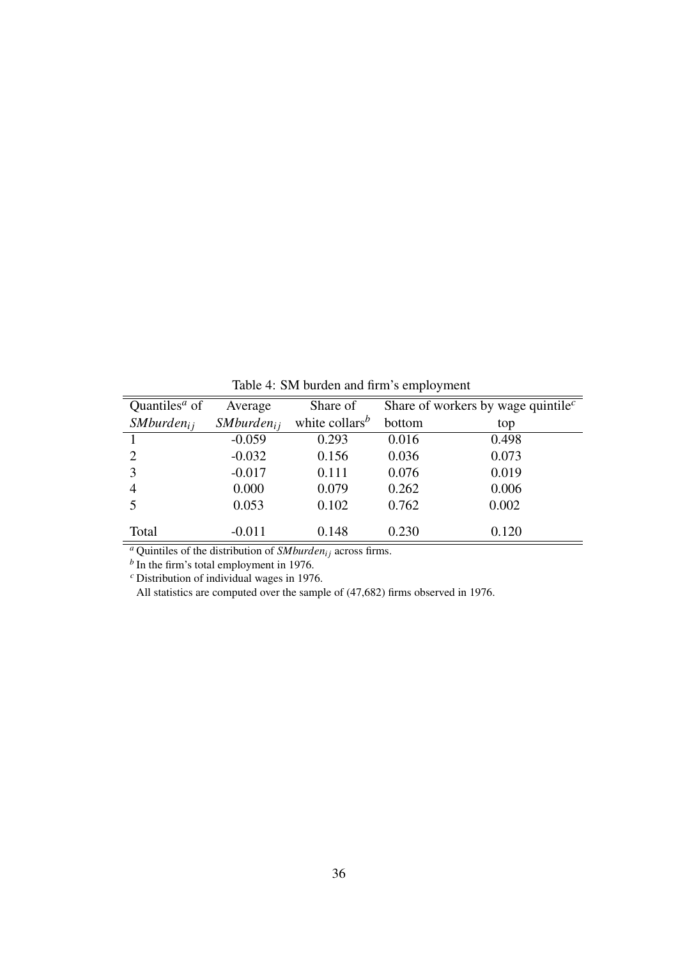| Quantiles <sup><math>a</math></sup> of | Average               | Share of                                |        | Share of workers by wage quintile <sup><math>c</math></sup> |
|----------------------------------------|-----------------------|-----------------------------------------|--------|-------------------------------------------------------------|
| SMburden <sub>i</sub>                  | SMburden <sub>i</sub> | white collars <sup><math>b</math></sup> | bottom | top                                                         |
|                                        | $-0.059$              | 0.293                                   | 0.016  | 0.498                                                       |
| 2                                      | $-0.032$              | 0.156                                   | 0.036  | 0.073                                                       |
| 3                                      | $-0.017$              | 0.111                                   | 0.076  | 0.019                                                       |
| 4                                      | 0.000                 | 0.079                                   | 0.262  | 0.006                                                       |
| 5                                      | 0.053                 | 0.102                                   | 0.762  | 0.002                                                       |
|                                        |                       |                                         |        |                                                             |
| Total                                  | $-0.011$              | 0.148                                   | 0.230  | 0.120                                                       |

<span id="page-37-0"></span>Table 4: SM burden and firm's employment

<sup>*a*</sup> Quintiles of the distribution of *SMburden<sub>ij</sub>* across firms.<br>
<sup>*b*</sup> In the firm's total employment in 1976.

*<sup>c</sup>* Distribution of individual wages in 1976.

All statistics are computed over the sample of (47,682) firms observed in 1976.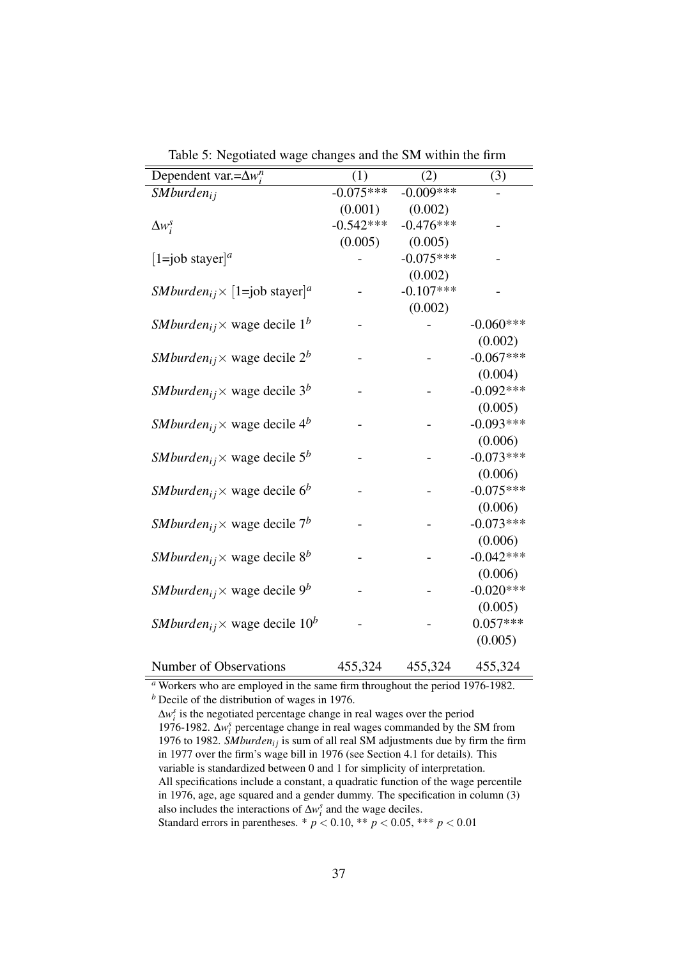| Dependent var.= $\Delta w_i^n$                                            | (1)         | (2)         | (3)         |
|---------------------------------------------------------------------------|-------------|-------------|-------------|
| SMburden <sub>ij</sub>                                                    | $-0.075***$ | $-0.009***$ |             |
|                                                                           | (0.001)     | (0.002)     |             |
| $\Delta w_i^s$                                                            | $-0.542***$ | $-0.476***$ |             |
|                                                                           | (0.005)     | (0.005)     |             |
| $[1=job$ stayer] <sup><i>a</i></sup>                                      |             | $-0.075***$ |             |
|                                                                           |             | (0.002)     |             |
| <i>SMburden</i> <sub>ij</sub> $\times$ [1=job stayer] <sup><i>a</i></sup> |             | $-0.107***$ |             |
|                                                                           |             | (0.002)     |             |
| <i>SMburden</i> <sub>ij</sub> $\times$ wage decile 1 <sup>b</sup>         |             |             | $-0.060***$ |
|                                                                           |             |             | (0.002)     |
| <i>SMburden</i> <sub>ij</sub> $\times$ wage decile 2 <sup>b</sup>         |             |             | $-0.067***$ |
|                                                                           |             |             | (0.004)     |
| <i>SMburden</i> <sub>ij</sub> $\times$ wage decile 3 <sup>b</sup>         |             |             | $-0.092***$ |
|                                                                           |             |             | (0.005)     |
| <i>SMburden</i> <sub>ij</sub> $\times$ wage decile 4 <sup>b</sup>         |             |             | $-0.093***$ |
|                                                                           |             |             | (0.006)     |
| <i>SMburden</i> <sub>ij</sub> $\times$ wage decile 5 <sup>b</sup>         |             |             | $-0.073***$ |
|                                                                           |             |             | (0.006)     |
| <i>SMburden</i> <sub>ij</sub> $\times$ wage decile 6 <sup>b</sup>         |             |             | $-0.075***$ |
|                                                                           |             |             | (0.006)     |
| <i>SMburden</i> <sub>ij</sub> $\times$ wage decile 7 <sup>b</sup>         |             |             | $-0.073***$ |
|                                                                           |             |             | (0.006)     |
| <i>SMburden</i> <sub>ij</sub> $\times$ wage decile 8 <sup>b</sup>         |             |             | $-0.042***$ |
|                                                                           |             |             | (0.006)     |
| <i>SMburden</i> <sub>ij</sub> $\times$ wage decile 9 <sup>b</sup>         |             |             | $-0.020***$ |
|                                                                           |             |             | (0.005)     |
| <i>SMburden</i> <sub>ij</sub> $\times$ wage decile 10 <sup>b</sup>        |             |             | $0.057***$  |
|                                                                           |             |             | (0.005)     |
|                                                                           |             |             |             |
| <b>Number of Observations</b>                                             | 455,324     | 455,324     | 455,324     |

<span id="page-38-0"></span>Table 5: Negotiated wage changes and the SM within the firm

*<sup>a</sup>* Workers who are employed in the same firm throughout the period 1976-1982. *<sup>b</sup>* Decile of the distribution of wages in 1976.

 $\Delta w_i^s$  is the negotiated percentage change in real wages over the period 1976-1982. ∆*w s i* percentage change in real wages commanded by the SM from 1976 to 1982. *SMburden*<sub>ij</sub> is sum of all real SM adjustments due by firm the firm in 1977 over the firm's wage bill in 1976 (see Section [4.1](#page-17-1) for details). This variable is standardized between 0 and 1 for simplicity of interpretation. All specifications include a constant, a quadratic function of the wage percentile in 1976, age, age squared and a gender dummy. The specification in column (3) also includes the interactions of  $\Delta w_i^s$  and the wage deciles. Standard errors in parentheses. \*  $p < 0.10$ , \*\*  $p < 0.05$ , \*\*\*  $p < 0.01$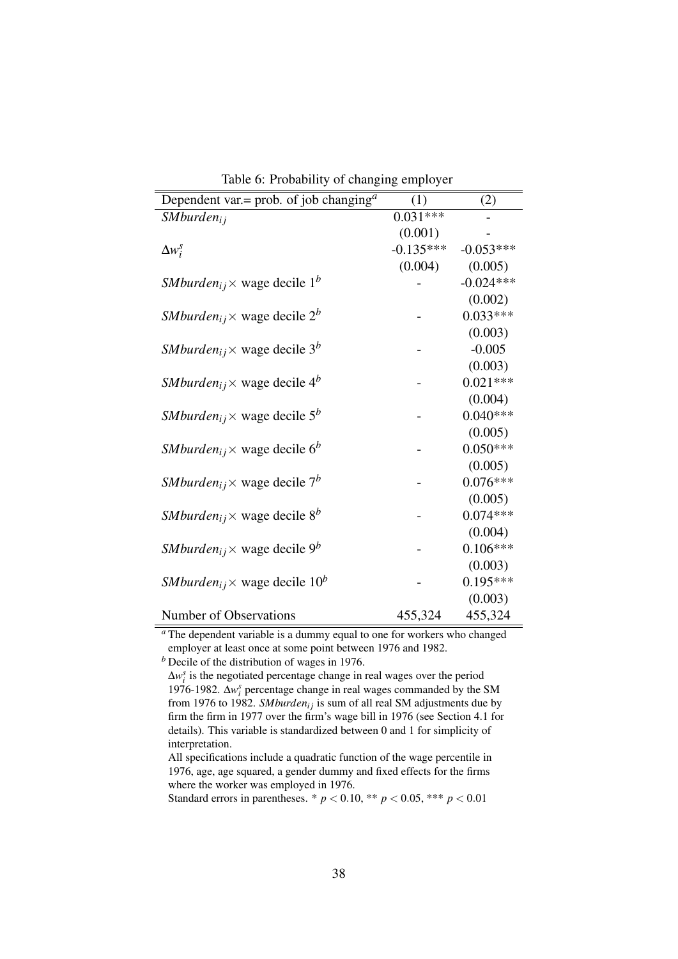| Dependent var.= prob. of job changing <sup><math>a</math></sup>    | (1)         | (2)         |
|--------------------------------------------------------------------|-------------|-------------|
| SMburden <sub>ij</sub>                                             | $0.031***$  |             |
|                                                                    | (0.001)     |             |
| $\Delta w_i^s$                                                     | $-0.135***$ | $-0.053***$ |
|                                                                    | (0.004)     | (0.005)     |
| <i>SMburden</i> <sub>ij</sub> $\times$ wage decile 1 <sup>b</sup>  |             | $-0.024***$ |
|                                                                    |             | (0.002)     |
| <i>SMburden</i> <sub>ij</sub> $\times$ wage decile 2 <sup>b</sup>  |             | $0.033***$  |
|                                                                    |             | (0.003)     |
| <i>SMburden</i> <sub>ij</sub> $\times$ wage decile 3 <sup>b</sup>  |             | $-0.005$    |
|                                                                    |             | (0.003)     |
| <i>SMburden</i> <sub>ij</sub> $\times$ wage decile 4 <sup>b</sup>  |             | $0.021***$  |
|                                                                    |             | (0.004)     |
| <i>SMburden</i> <sub>ij</sub> $\times$ wage decile 5 <sup>b</sup>  |             | $0.040***$  |
|                                                                    |             | (0.005)     |
| <i>SMburden</i> <sub>ij</sub> $\times$ wage decile 6 <sup>b</sup>  |             | $0.050***$  |
|                                                                    |             | (0.005)     |
| <i>SMburden</i> <sub>ij</sub> $\times$ wage decile 7 <sup>b</sup>  |             | $0.076***$  |
|                                                                    |             | (0.005)     |
| <i>SMburden</i> <sub>ij</sub> $\times$ wage decile 8 <sup>b</sup>  |             | $0.074***$  |
|                                                                    |             | (0.004)     |
| <i>SMburden</i> <sub>ij</sub> $\times$ wage decile 9 <sup>b</sup>  |             | $0.106***$  |
|                                                                    |             | (0.003)     |
| <i>SMburden</i> <sub>ij</sub> $\times$ wage decile 10 <sup>b</sup> |             | $0.195***$  |
|                                                                    |             | (0.003)     |
| Number of Observations                                             | 455,324     | 455,324     |

<span id="page-39-0"></span>Table 6: Probability of changing employer

*<sup>a</sup>* The dependent variable is a dummy equal to one for workers who changed employer at least once at some point between 1976 and 1982.

*b* Decile of the distribution of wages in 1976.

 $\Delta w_i^s$  is the negotiated percentage change in real wages over the period 1976-1982. ∆*w s i* percentage change in real wages commanded by the SM from 1976 to 1982. *SMburden<sub>ij</sub>* is sum of all real SM adjustments due by firm the firm in 1977 over the firm's wage bill in 1976 (see Section [4.1](#page-17-1) for details). This variable is standardized between 0 and 1 for simplicity of interpretation.

All specifications include a quadratic function of the wage percentile in 1976, age, age squared, a gender dummy and fixed effects for the firms where the worker was employed in 1976.

Standard errors in parentheses. \*  $p < 0.10$ , \*\*  $p < 0.05$ , \*\*\*  $p < 0.01$